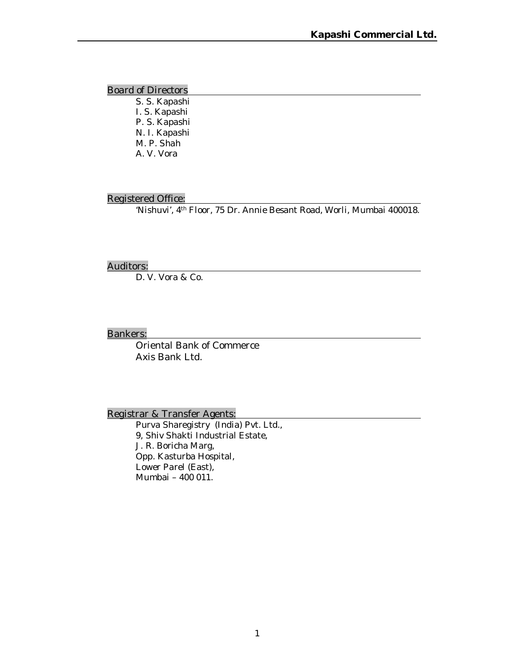Board of Directors

S. S. Kapashi I. S. Kapashi P. S. Kapashi N. I. Kapashi M. P. Shah A. V. Vora

#### Registered Office:

'Nishuvi', 4th Floor, 75 Dr. Annie Besant Road, Worli, Mumbai 400018.

#### Auditors:

D. V. Vora & Co.

#### Bankers:

Oriental Bank of Commerce Axis Bank Ltd.

Registrar & Transfer Agents:

Purva Sharegistry (India) Pvt. Ltd., 9, Shiv Shakti Industrial Estate, J. R. Boricha Marg, Opp. Kasturba Hospital, Lower Parel (East), Mumbai – 400 011.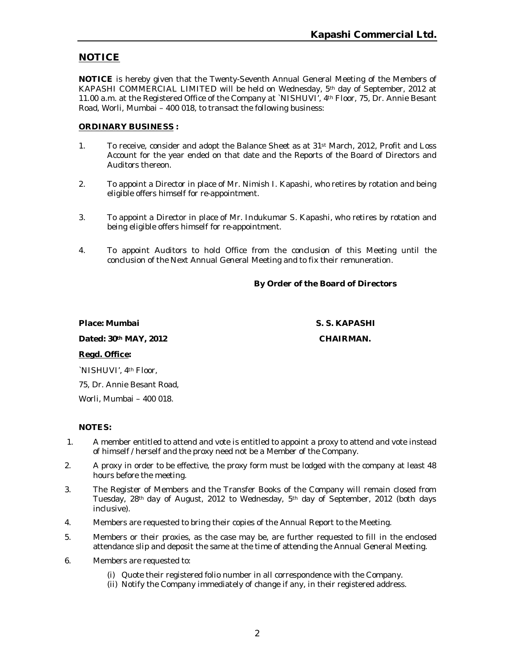# **NOTICE**

**NOTICE** is hereby given that the Twenty-Seventh Annual General Meeting of the Members of KAPASHI COMMERCIAL LIMITED will be held on Wednesday, 5th day of September, 2012 at 11.00 a.m. at the Registered Office of the Company at `NISHUVI', 4th Floor, 75, Dr. Annie Besant Road, Worli, Mumbai – 400 018, to transact the following business:

#### **ORDINARY BUSINESS :**

- 1. To receive, consider and adopt the Balance Sheet as at 31st March, 2012, Profit and Loss Account for the year ended on that date and the Reports of the Board of Directors and Auditors thereon.
- 2. To appoint a Director in place of Mr. Nimish I. Kapashi, who retires by rotation and being eligible offers himself for re-appointment.
- 3. To appoint a Director in place of Mr. Indukumar S. Kapashi, who retires by rotation and being eligible offers himself for re-appointment.
- 4. To appoint Auditors to hold Office from the conclusion of this Meeting until the conclusion of the Next Annual General Meeting and to fix their remuneration.

## **By Order of the Board of Directors**

#### **Place: Mumbai S. S. KAPASHI**

#### Dated:  $30$ <sup>th</sup> MAY, 2012 CHAIRMAN.

#### **Regd. Office:**

`NISHUVI', 4th Floor,

75, Dr. Annie Besant Road, Worli, Mumbai – 400 018.

**NOTES:**

- 1. A member entitled to attend and vote is entitled to appoint a proxy to attend and vote instead of himself / herself and the proxy need not be a Member of the Company.
- 2. A proxy in order to be effective, the proxy form must be lodged with the company at least 48 hours before the meeting.
- 3. The Register of Members and the Transfer Books of the Company will remain closed from Tuesday, 28th day of August, 2012 to Wednesday, 5th day of September, 2012 (both days inclusive).
- 4. Members are requested to bring their copies of the Annual Report to the Meeting.
- 5. Members or their proxies, as the case may be, are further requested to fill in the enclosed attendance slip and deposit the same at the time of attending the Annual General Meeting.
- 6. Members are requested to:
	- (i) Quote their registered folio number in all correspondence with the Company.
	- (ii) Notify the Company immediately of change if any, in their registered address.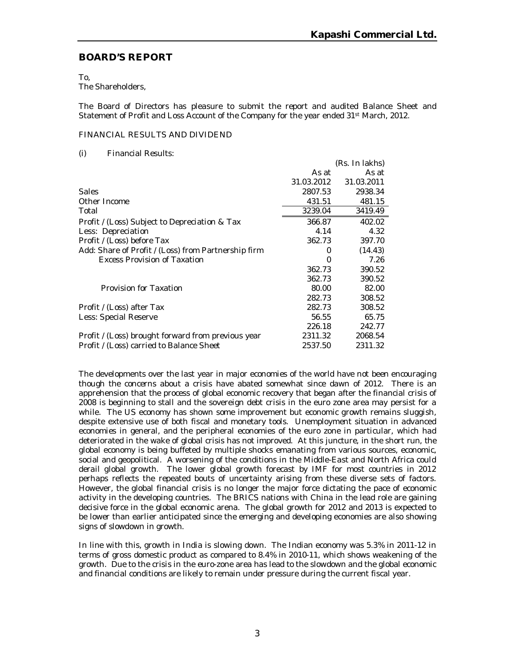$(D_0, I_0, I_0 |$ 

# **BOARD'S REPORT**

To,

The Shareholders,

The Board of Directors has pleasure to submit the report and audited Balance Sheet and Statement of Profit and Loss Account of the Company for the year ended 31st March, 2012.

#### FINANCIAL RESULTS AND DIVIDEND

(i) Financial Results:

|                                                     |            | (RS. III IANIS) |
|-----------------------------------------------------|------------|-----------------|
|                                                     | As at      | As at           |
|                                                     | 31.03.2012 | 31.03.2011      |
| <b>Sales</b>                                        | 2807.53    | 2938.34         |
| Other Income                                        | 431.51     | 481.15          |
| Total                                               | 3239.04    | 3419.49         |
| Profit / (Loss) Subject to Depreciation & Tax       | 366.87     | 402.02          |
| Less: Depreciation                                  | 4.14       | 4.32            |
| Profit / (Loss) before Tax                          | 362.73     | 397.70          |
| Add: Share of Profit / (Loss) from Partnership firm | 0          | (14.43)         |
| <b>Excess Provision of Taxation</b>                 | 0          | 7.26            |
|                                                     | 362.73     | 390.52          |
|                                                     | 362.73     | 390.52          |
| Provision for Taxation                              | 80.00      | 82.00           |
|                                                     | 282.73     | 308.52          |
| Profit / (Loss) after Tax                           | 282.73     | 308.52          |
| Less: Special Reserve                               | 56.55      | 65.75           |
|                                                     | 226.18     | 242.77          |
| Profit / (Loss) brought forward from previous year  | 2311.32    | 2068.54         |
| Profit / (Loss) carried to Balance Sheet            | 2537.50    | 2311.32         |
|                                                     |            |                 |

The developments over the last year in major economies of the world have not been encouraging though the concerns about a crisis have abated somewhat since dawn of 2012. There is an apprehension that the process of global economic recovery that began after the financial crisis of 2008 is beginning to stall and the sovereign debt crisis in the euro zone area may persist for a while. The US economy has shown some improvement but economic growth remains sluggish, despite extensive use of both fiscal and monetary tools. Unemployment situation in advanced economies in general, and the peripheral economies of the euro zone in particular, which had deteriorated in the wake of global crisis has not improved. At this juncture, in the short run, the global economy is being buffeted by multiple shocks emanating from various sources, economic, social and geopolitical. A worsening of the conditions in the Middle-East and North Africa could derail global growth. The lower global growth forecast by IMF for most countries in 2012 perhaps reflects the repeated bouts of uncertainty arising from these diverse sets of factors. However, the global financial crisis is no longer the major force dictating the pace of economic activity in the developing countries. The BRICS nations with China in the lead role are gaining decisive force in the global economic arena. The global growth for 2012 and 2013 is expected to be lower than earlier anticipated since the emerging and developing economies are also showing signs of slowdown in growth.

In line with this, growth in India is slowing down. The Indian economy was 5.3% in 2011-12 in terms of gross domestic product as compared to 8.4% in 2010-11, which shows weakening of the growth. Due to the crisis in the euro-zone area has lead to the slowdown and the global economic and financial conditions are likely to remain under pressure during the current fiscal year.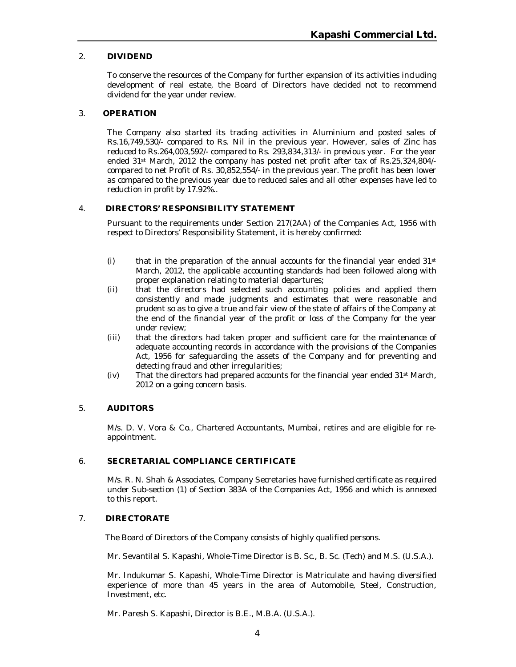### 2. **DIVIDEND**

To conserve the resources of the Company for further expansion of its activities including development of real estate, the Board of Directors have decided not to recommend dividend for the year under review.

#### 3. **OPERATION**

The Company also started its trading activities in Aluminium and posted sales of Rs.16,749,530/- compared to Rs. Nil in the previous year. However, sales of Zinc has reduced to Rs.264,003,592/- compared to Rs. 293,834,313/- in previous year. For the year ended 31st March, 2012 the company has posted net profit after tax of Rs.25,324,804/ compared to net Profit of Rs. 30,852,554/- in the previous year. The profit has been lower as compared to the previous year due to reduced sales and all other expenses have led to reduction in profit by 17.92%..

### 4. **DIRECTORS' RESPONSIBILITY STATEMENT**

Pursuant to the requirements under Section 217(2AA) of the Companies Act, 1956 with respect to Directors' Responsibility Statement, it is hereby confirmed:

- (i) that in the preparation of the annual accounts for the financial year ended  $31st$ March, 2012, the applicable accounting standards had been followed along with proper explanation relating to material departures;
- (ii) that the directors had selected such accounting policies and applied them consistently and made judgments and estimates that were reasonable and prudent so as to give a true and fair view of the state of affairs of the Company at the end of the financial year of the profit or loss of the Company for the year under review;
- (iii) that the directors had taken proper and sufficient care for the maintenance of adequate accounting records in accordance with the provisions of the Companies Act, 1956 for safeguarding the assets of the Company and for preventing and detecting fraud and other irregularities;
- (iv) That the directors had prepared accounts for the financial year ended 31st March, 2012 on a going concern basis.

#### 5. **AUDITORS**

M/s. D. V. Vora & Co., Chartered Accountants, Mumbai, retires and are eligible for reappointment.

#### 6. **SECRETARIAL COMPLIANCE CERTIFICATE**

M/s. R. N. Shah & Associates, Company Secretaries have furnished certificate as required under Sub-section (1) of Section 383A of the Companies Act, 1956 and which is annexed to this report.

#### 7. **DIRECTORATE**

The Board of Directors of the Company consists of highly qualified persons.

Mr. Sevantilal S. Kapashi, Whole-Time Director is B. Sc., B. Sc. (Tech) and M.S. (U.S.A.).

 Mr. Indukumar S. Kapashi, Whole-Time Director is Matriculate and having diversified experience of more than 45 years in the area of Automobile, Steel, Construction, Investment, etc.

Mr. Paresh S. Kapashi, Director is B.E., M.B.A. (U.S.A.).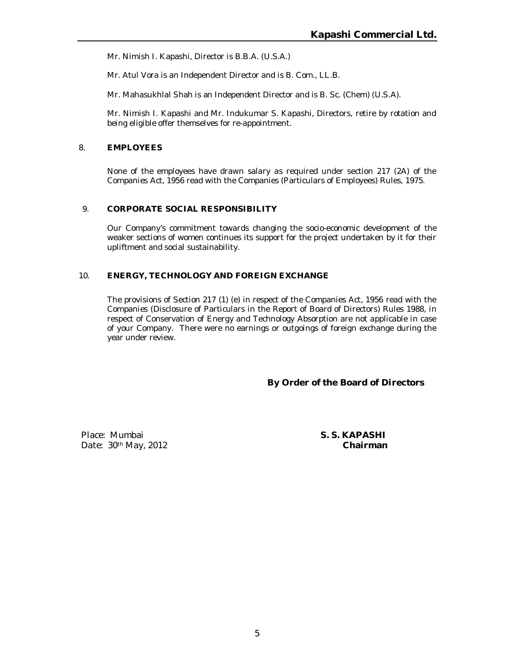Mr. Nimish I. Kapashi, Director is B.B.A. (U.S.A.)

Mr. Atul Vora is an Independent Director and is B. Com., LL.B.

Mr. Mahasukhlal Shah is an Independent Director and is B. Sc. (Chem) (U.S.A).

Mr. Nimish I. Kapashi and Mr. Indukumar S. Kapashi, Directors, retire by rotation and being eligible offer themselves for re-appointment.

#### 8. **EMPLOYEES**

None of the employees have drawn salary as required under section 217 (2A) of the Companies Act, 1956 read with the Companies (Particulars of Employees) Rules, 1975.

#### 9. **CORPORATE SOCIAL RESPONSIBILITY**

Our Company's commitment towards changing the socio-economic development of the weaker sections of women continues its support for the project undertaken by it for their upliftment and social sustainability.

#### 10. **ENERGY, TECHNOLOGY AND FOREIGN EXCHANGE**

The provisions of Section 217 (1) (e) in respect of the Companies Act, 1956 read with the Companies (Disclosure of Particulars in the Report of Board of Directors) Rules 1988, in respect of Conservation of Energy and Technology Absorption are not applicable in case of your Company. There were no earnings or outgoings of foreign exchange during the year under review.

**By Order of the Board of Directors**

Place: Mumbai **S. S. KAPASHI** Date: 30th May, 2012 **Chairman**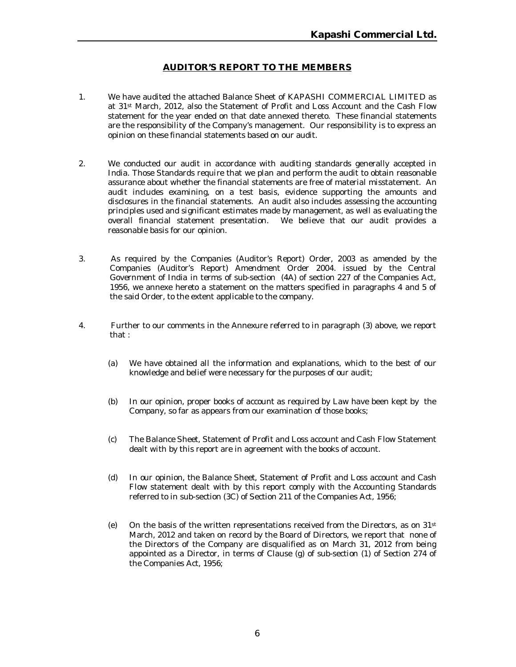## **AUDITOR'S REPORT TO THE MEMBERS**

- 1. We have audited the attached Balance Sheet of KAPASHI COMMERCIAL LIMITED as at 31st March, 2012, also the Statement of Profit and Loss Account and the Cash Flow statement for the year ended on that date annexed thereto. These financial statements are the responsibility of the Company's management. Our responsibility is to express an opinion on these financial statements based on our audit.
- 2. We conducted our audit in accordance with auditing standards generally accepted in India. Those Standards require that we plan and perform the audit to obtain reasonable assurance about whether the financial statements are free of material misstatement. An audit includes examining, on a test basis, evidence supporting the amounts and disclosures in the financial statements. An audit also includes assessing the accounting principles used and significant estimates made by management, as well as evaluating the overall financial statement presentation. We believe that our audit provides a reasonable basis for our opinion.
- 3. As required by the Companies (Auditor's Report) Order, 2003 as amended by the Companies (Auditor's Report) Amendment Order 2004. issued by the Central Government of India in terms of sub-section (4A) of section 227 of the Companies Act, 1956, we annexe hereto a statement on the matters specified in paragraphs 4 and 5 of the said Order, to the extent applicable to the company.
- 4. Further to our comments in the Annexure referred to in paragraph (3) above, we report that :
	- (a) We have obtained all the information and explanations, which to the best of our knowledge and belief were necessary for the purposes of our audit;
	- (b) In our opinion, proper books of account as required by Law have been kept by the Company, so far as appears from our examination of those books;
	- (c) The Balance Sheet, Statement of Profit and Loss account and Cash Flow Statement dealt with by this report are in agreement with the books of account.
	- (d) In our opinion, the Balance Sheet, Statement of Profit and Loss account and Cash Flow statement dealt with by this report comply with the Accounting Standards referred to in sub-section (3C) of Section 211 of the Companies Act, 1956;
	- (e) On the basis of the written representations received from the Directors, as on  $31st$ March, 2012 and taken on record by the Board of Directors, we report that none of the Directors of the Company are disqualified as on March 31, 2012 from being appointed as a Director, in terms of Clause (g) of sub-section (1) of Section 274 of the Companies Act, 1956;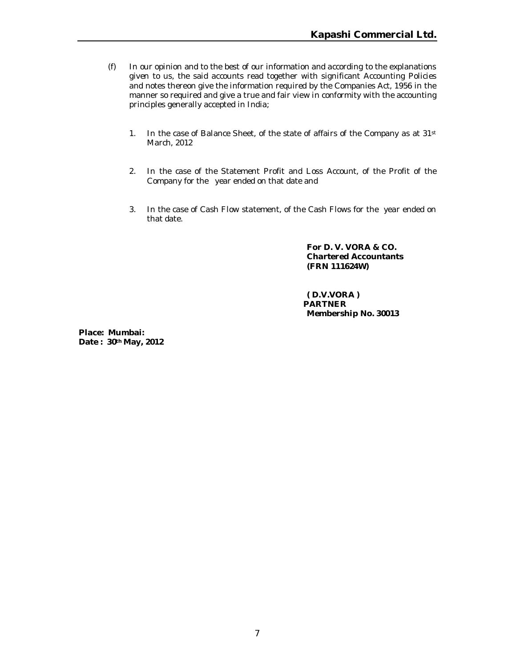- (f) In our opinion and to the best of our information and according to the explanations given to us, the said accounts read together with significant Accounting Policies and notes thereon give the information required by the Companies Act, 1956 in the manner so required and give a true and fair view in conformity with the accounting principles generally accepted in India;
	- 1. In the case of Balance Sheet, of the state of affairs of the Company as at 31st March, 2012
	- 2. In the case of the Statement Profit and Loss Account, of the Profit of the Company for the year ended on that date and
	- 3. In the case of Cash Flow statement, of the Cash Flows for the year ended on that date.

**For D. V. VORA & CO. Chartered Accountants (FRN 111624W)**

 **( D.V.VORA ) PARTNER Membership No. 30013**

**Place: Mumbai: Date : 30th May, 2012**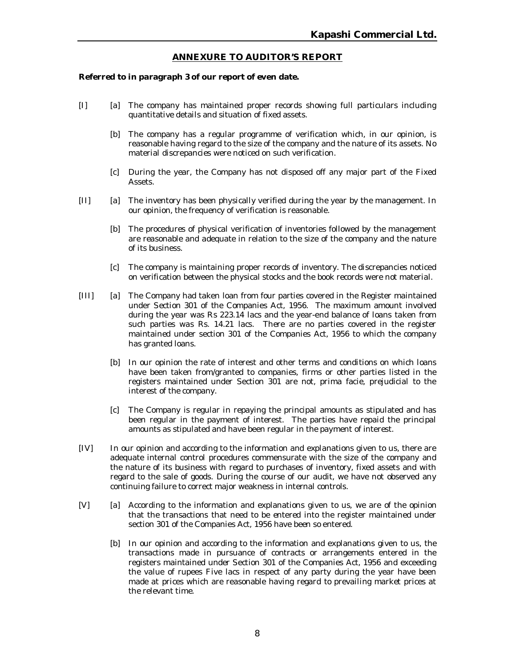#### **ANNEXURE TO AUDITOR'S REPORT**

#### **Referred to in paragraph 3 of our report of even date.**

- [I] [a] The company has maintained proper records showing full particulars including quantitative details and situation of fixed assets.
	- [b] The company has a regular programme of verification which, in our opinion, is reasonable having regard to the size of the company and the nature of its assets. No material discrepancies were noticed on such verification.
	- [c] During the year, the Company has not disposed off any major part of the Fixed Assets.
- [II] [a] The inventory has been physically verified during the year by the management. In our opinion, the frequency of verification is reasonable.
	- [b] The procedures of physical verification of inventories followed by the management are reasonable and adequate in relation to the size of the company and the nature of its business.
	- [c] The company is maintaining proper records of inventory. The discrepancies noticed on verification between the physical stocks and the book records were not material.
- [III] [a] The Company had taken loan from four parties covered in the Register maintained under Section 301 of the Companies Act, 1956. The maximum amount involved during the year was Rs 223.14 lacs and the year-end balance of loans taken from such parties was Rs. 14.21 lacs. There are no parties covered in the register maintained under section 301 of the Companies Act, 1956 to which the company has granted loans.
	- [b] In our opinion the rate of interest and other terms and conditions on which loans have been taken from/granted to companies, firms or other parties listed in the registers maintained under Section 301 are not, prima facie, prejudicial to the interest of the company.
	- [c] The Company is regular in repaying the principal amounts as stipulated and has been regular in the payment of interest. The parties have repaid the principal amounts as stipulated and have been regular in the payment of interest.
- [IV] In our opinion and according to the information and explanations given to us, there are adequate internal control procedures commensurate with the size of the company and the nature of its business with regard to purchases of inventory, fixed assets and with regard to the sale of goods. During the course of our audit, we have not observed any continuing failure to correct major weakness in internal controls.
- [V] [a] According to the information and explanations given to us, we are of the opinion that the transactions that need to be entered into the register maintained under section 301 of the Companies Act, 1956 have been so entered.
	- [b] In our opinion and according to the information and explanations given to us, the transactions made in pursuance of contracts or arrangements entered in the registers maintained under Section 301 of the Companies Act, 1956 and exceeding the value of rupees Five lacs in respect of any party during the year have been made at prices which are reasonable having regard to prevailing market prices at the relevant time.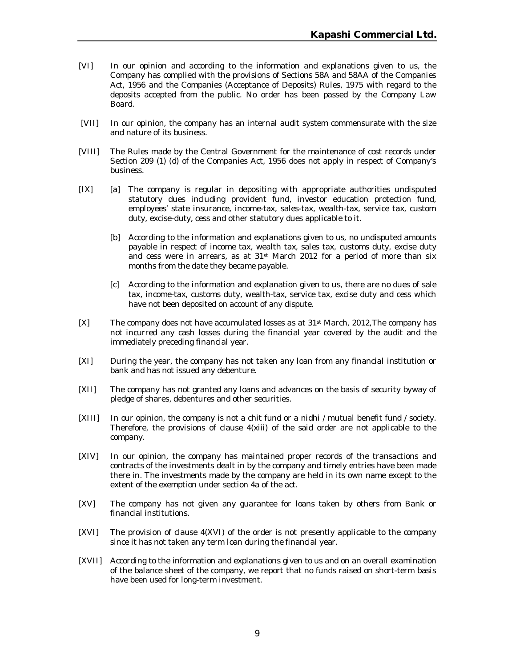- [VI] In our opinion and according to the information and explanations given to us, the Company has complied with the provisions of Sections 58A and 58AA of the Companies Act, 1956 and the Companies (Acceptance of Deposits) Rules, 1975 with regard to the deposits accepted from the public. No order has been passed by the Company Law Board.
- [VII] In our opinion, the company has an internal audit system commensurate with the size and nature of its business.
- [VIII] The Rules made by the Central Government for the maintenance of cost records under Section 209 (1) (d) of the Companies Act, 1956 does not apply in respect of Company's business.
- [IX] [a] The company is regular in depositing with appropriate authorities undisputed statutory dues including provident fund, investor education protection fund, employees' state insurance, income-tax, sales-tax, wealth-tax, service tax, custom duty, excise-duty, cess and other statutory dues applicable to it.
	- [b] According to the information and explanations given to us, no undisputed amounts payable in respect of income tax, wealth tax, sales tax, customs duty, excise duty and cess were in arrears, as at 31st March 2012 for a period of more than six months from the date they became payable.
	- [c] According to the information and explanation given to us, there are no dues of sale tax, income-tax, customs duty, wealth-tax, service tax, excise duty and cess which have not been deposited on account of any dispute.
- [X] The company does not have accumulated losses as at 31st March, 2012,The company has not incurred any cash losses during the financial year covered by the audit and the immediately preceding financial year.
- [XI] During the year, the company has not taken any loan from any financial institution or bank and has not issued any debenture.
- [XII] The company has not granted any loans and advances on the basis of security byway of pledge of shares, debentures and other securities.
- [XIII] In our opinion, the company is not a chit fund or a nidhi / mutual benefit fund / society. Therefore, the provisions of clause  $4(xiii)$  of the said order are not applicable to the company.
- [XIV] In our opinion, the company has maintained proper records of the transactions and contracts of the investments dealt in by the company and timely entries have been made there in. The investments made by the company are held in its own name except to the extent of the exemption under section 4a of the act.
- [XV] The company has not given any guarantee for loans taken by others from Bank or financial institutions.
- [XVI] The provision of clause 4(XVI) of the order is not presently applicable to the company since it has not taken any term loan during the financial year.
- [XVII] According to the information and explanations given to us and on an overall examination of the balance sheet of the company, we report that no funds raised on short-term basis have been used for long-term investment.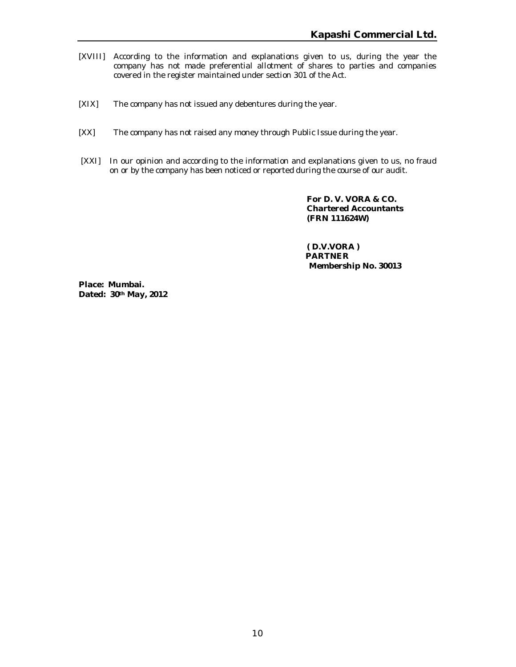- [XVIII] According to the information and explanations given to us, during the year the company has not made preferential allotment of shares to parties and companies covered in the register maintained under section 301 of the Act.
- [XIX] The company has not issued any debentures during the year.
- [XX] The company has not raised any money through Public Issue during the year.
- [XXI] In our opinion and according to the information and explanations given to us, no fraud on or by the company has been noticed or reported during the course of our audit.

**For D. V. VORA & CO. Chartered Accountants (FRN 111624W)**

 **( D.V.VORA ) PARTNER Membership No. 30013**

**Place: Mumbai. Dated: 30th May, 2012**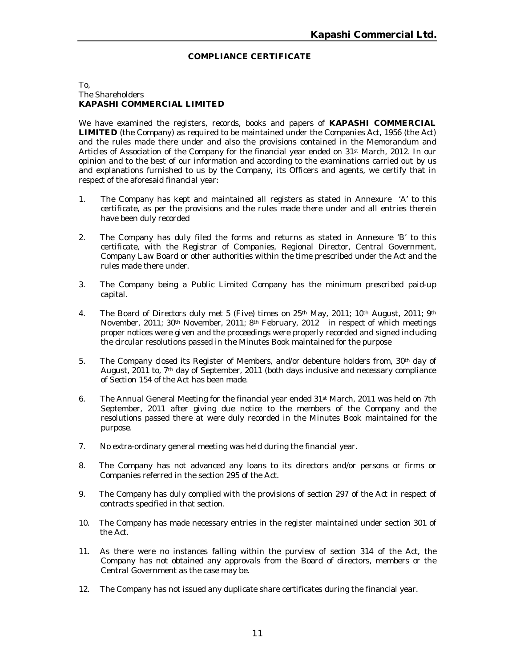#### **COMPLIANCE CERTIFICATE**

#### To, The Shareholders **KAPASHI COMMERCIAL LIMITED**

We have examined the registers, records, books and papers of **KAPASHI COMMERCIAL LIMITED** (the Company) as required to be maintained under the Companies Act, 1956 (the Act) and the rules made there under and also the provisions contained in the Memorandum and Articles of Association of the Company for the financial year ended on 31st March, 2012. In our opinion and to the best of our information and according to the examinations carried out by us and explanations furnished to us by the Company, its Officers and agents, we certify that in respect of the aforesaid financial year:

- 1. The Company has kept and maintained all registers as stated in Annexure 'A' to this certificate, as per the provisions and the rules made there under and all entries therein have been duly recorded
- 2. The Company has duly filed the forms and returns as stated in Annexure 'B' to this certificate, with the Registrar of Companies, Regional Director, Central Government, Company Law Board or other authorities within the time prescribed under the Act and the rules made there under.
- 3. The Company being a Public Limited Company has the minimum prescribed paid-up capital.
- 4. The Board of Directors duly met 5 (Five) times on 25<sup>th</sup> May, 2011; 10<sup>th</sup> August, 2011; 9<sup>th</sup> November, 2011; 30th November, 2011; 8th February, 2012 in respect of which meetings proper notices were given and the proceedings were properly recorded and signed including the circular resolutions passed in the Minutes Book maintained for the purpose
- 5. The Company closed its Register of Members, and/or debenture holders from, 30<sup>th</sup> day of August, 2011 to, 7th day of September, 2011 (both days inclusive and necessary compliance of Section 154 of the Act has been made.
- 6. The Annual General Meeting for the financial year ended 31st March, 2011 was held on 7th September, 2011 after giving due notice to the members of the Company and the resolutions passed there at were duly recorded in the Minutes Book maintained for the purpose.
- 7. No extra-ordinary general meeting was held during the financial year.
- 8. The Company has not advanced any loans to its directors and/or persons or firms or Companies referred in the section 295 of the Act.
- 9. The Company has duly complied with the provisions of section 297 of the Act in respect of contracts specified in that section.
- 10. The Company has made necessary entries in the register maintained under section 301 of the Act.
- 11. As there were no instances falling within the purview of section 314 of the Act, the Company has not obtained any approvals from the Board of directors, members or the Central Government as the case may be.
- 12. The Company has not issued any duplicate share certificates during the financial year.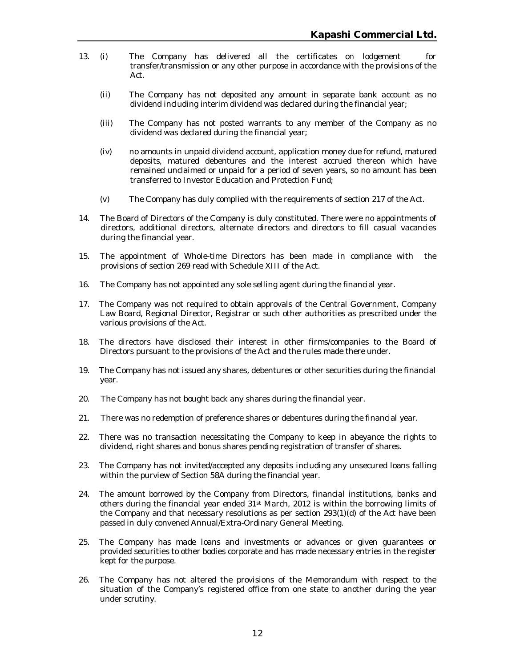- 13. (i) The Company has delivered all the certificates on lodgement for transfer/transmission or any other purpose in accordance with the provisions of the Act.
	- (ii) The Company has not deposited any amount in separate bank account as no dividend including interim dividend was declared during the financial year;
	- (iii) The Company has not posted warrants to any member of the Company as no dividend was declared during the financial year;
	- (iv) no amounts in unpaid dividend account, application money due for refund, matured deposits, matured debentures and the interest accrued thereon which have remained unclaimed or unpaid for a period of seven years, so no amount has been transferred to Investor Education and Protection Fund;
	- (v) The Company has duly complied with the requirements of section 217 of the Act.
- 14. The Board of Directors of the Company is duly constituted. There were no appointments of directors, additional directors, alternate directors and directors to fill casual vacancies during the financial year.
- 15. The appointment of Whole-time Directors has been made in compliance with the provisions of section 269 read with Schedule XIII of the Act.
- 16. The Company has not appointed any sole selling agent during the financial year.
- 17. The Company was not required to obtain approvals of the Central Government, Company Law Board, Regional Director, Registrar or such other authorities as prescribed under the various provisions of the Act.
- 18. The directors have disclosed their interest in other firms/companies to the Board of Directors pursuant to the provisions of the Act and the rules made there under.
- 19. The Company has not issued any shares, debentures or other securities during the financial year.
- 20. The Company has not bought back any shares during the financial year.
- 21. There was no redemption of preference shares or debentures during the financial year.
- 22. There was no transaction necessitating the Company to keep in abeyance the rights to dividend, right shares and bonus shares pending registration of transfer of shares.
- 23. The Company has not invited/accepted any deposits including any unsecured loans falling within the purview of Section 58A during the financial year.
- 24. The amount borrowed by the Company from Directors, financial institutions, banks and others during the financial year ended 31<sup>st</sup> March, 2012 is within the borrowing limits of the Company and that necessary resolutions as per section 293(1)(d) of the Act have been passed in duly convened Annual/Extra-Ordinary General Meeting.
- 25. The Company has made loans and investments or advances or given guarantees or provided securities to other bodies corporate and has made necessary entries in the register kept for the purpose.
- 26. The Company has not altered the provisions of the Memorandum with respect to the situation of the Company's registered office from one state to another during the year under scrutiny.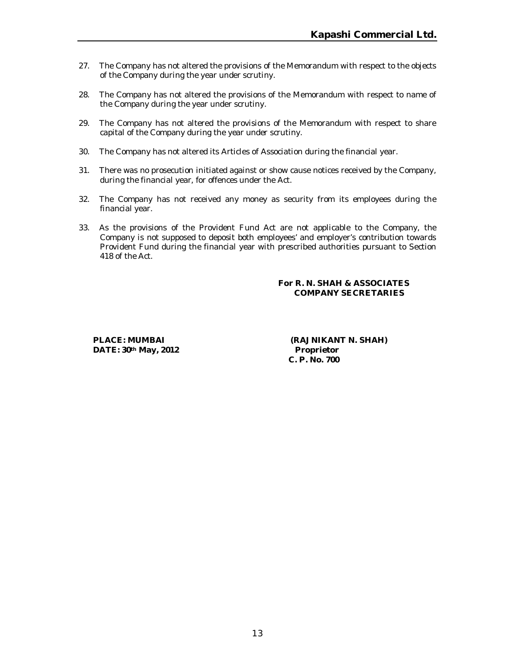- 27. The Company has not altered the provisions of the Memorandum with respect to the objects of the Company during the year under scrutiny.
- 28. The Company has not altered the provisions of the Memorandum with respect to name of the Company during the year under scrutiny.
- 29. The Company has not altered the provisions of the Memorandum with respect to share capital of the Company during the year under scrutiny.
- 30. The Company has not altered its Articles of Association during the financial year.
- 31. There was no prosecution initiated against or show cause notices received by the Company, during the financial year, for offences under the Act.
- 32. The Company has not received any money as security from its employees during the financial year.
- 33. As the provisions of the Provident Fund Act are not applicable to the Company, the Company is not supposed to deposit both employees' and employer's contribution towards Provident Fund during the financial year with prescribed authorities pursuant to Section 418 of the Act.

#### **For R. N. SHAH & ASSOCIATES COMPANY SECRETARIES**

**DATE: 30th May, 2012 Proprietor**

**PLACE: MUMBAI (RAJNIKANT N. SHAH) C. P. No. 700**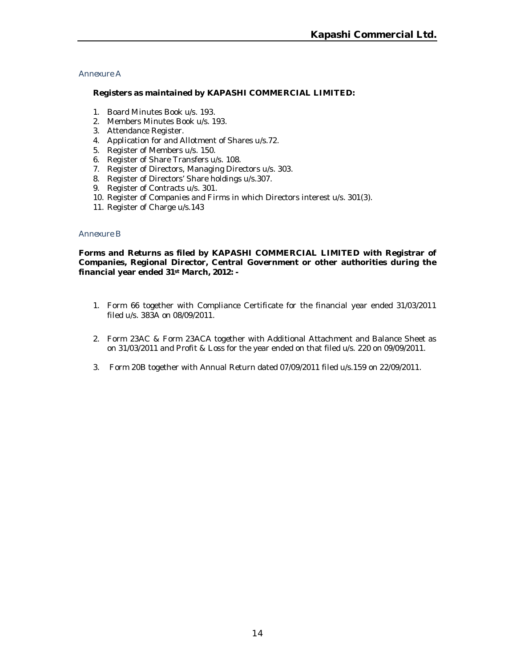#### *Annexure A*

#### **Registers as maintained by KAPASHI COMMERCIAL LIMITED:**

- 1. Board Minutes Book u/s. 193.
- 2. Members Minutes Book u/s. 193.
- 3. Attendance Register.
- 4. Application for and Allotment of Shares u/s.72.
- 5. Register of Members u/s. 150.
- 6. Register of Share Transfers u/s. 108.
- 7. Register of Directors, Managing Directors u/s. 303.
- 8. Register of Directors' Share holdings u/s.307.
- 9. Register of Contracts u/s. 301.
- 10. Register of Companies and Firms in which Directors interest u/s. 301(3).
- 11. Register of Charge u/s.143

#### *Annexure B*

**Forms and Returns as filed by KAPASHI COMMERCIAL LIMITED with Registrar of Companies, Regional Director, Central Government or other authorities during the financial year ended 31st March, 2012: -**

- 1. Form 66 together with Compliance Certificate for the financial year ended 31/03/2011 filed u/s. 383A on 08/09/2011.
- 2. Form 23AC & Form 23ACA together with Additional Attachment and Balance Sheet as on 31/03/2011 and Profit & Loss for the year ended on that filed u/s. 220 on 09/09/2011.
- 3. Form 20B together with Annual Return dated 07/09/2011 filed u/s.159 on 22/09/2011.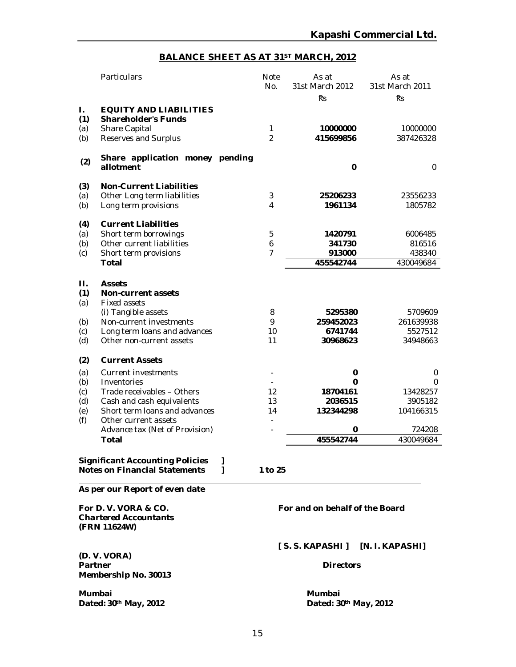# **BALANCE SHEET AS AT 31ST MARCH, 2012**

| Particulars                                                                                                                                                                                                                |                                                                                                                                                                                         | <b>Note</b><br>No.              | As at<br>31st March 2012                                     | As at<br>31st March 2011<br>Ŕs                                    |  |
|----------------------------------------------------------------------------------------------------------------------------------------------------------------------------------------------------------------------------|-----------------------------------------------------------------------------------------------------------------------------------------------------------------------------------------|---------------------------------|--------------------------------------------------------------|-------------------------------------------------------------------|--|
| <b>EQUITY AND LIABILITIES</b><br><b>Shareholder's Funds</b><br>Share Capital<br>Reserves and Surplus                                                                                                                       |                                                                                                                                                                                         | 1<br>$\overline{2}$             | 10000000<br>415699856                                        | 10000000<br>387426328                                             |  |
| allotment                                                                                                                                                                                                                  |                                                                                                                                                                                         |                                 | $\bf{0}$                                                     | $\mathbf 0$                                                       |  |
| <b>Non-Current Liabilities</b><br>Other Long term liabilities<br>Long term provisions                                                                                                                                      |                                                                                                                                                                                         | 3<br>4                          | 25206233<br>1961134                                          | 23556233<br>1805782                                               |  |
| <b>Current Liabilities</b><br>Short term borrowings<br>Other current liabilities<br>Short term provisions<br><b>Total</b>                                                                                                  |                                                                                                                                                                                         | 5<br>6<br>$\overline{7}$        | 1420791<br>341730<br>913000<br>455542744                     | 6006485<br>816516<br>438340<br>430049684                          |  |
| <b>Assets</b><br><b>Non-current assets</b><br><b>Fixed assets</b><br>(i) Tangible assets<br>Non-current investments<br>Long term loans and advances<br>Other non-current assets                                            |                                                                                                                                                                                         | 8<br>9<br>10<br>11              | 5295380<br>259452023<br>6741744<br>30968623                  | 5709609<br>261639938<br>5527512<br>34948663                       |  |
| <b>Current Assets</b><br>Current investments<br>Inventories<br>Trade receivables - Others<br>Cash and cash equivalents<br>Short term loans and advances<br>Other current assets<br>Advance tax (Net of Provision)<br>Total |                                                                                                                                                                                         | 12<br>13<br>14                  | 0<br>0<br>18704161<br>2036515<br>132344298<br>0<br>455542744 | 0<br>0<br>13428257<br>3905182<br>104166315<br>724208<br>430049684 |  |
|                                                                                                                                                                                                                            | 1<br>1                                                                                                                                                                                  |                                 |                                                              |                                                                   |  |
|                                                                                                                                                                                                                            |                                                                                                                                                                                         |                                 |                                                              |                                                                   |  |
|                                                                                                                                                                                                                            | For and on behalf of the Board                                                                                                                                                          |                                 |                                                              |                                                                   |  |
|                                                                                                                                                                                                                            | <b>Significant Accounting Policies</b><br><b>Notes on Financial Statements</b><br>As per our Report of even date<br>For D.V. VORA & CO.<br><b>Chartered Accountants</b><br>(FRN 11624W) | Share application money pending | 1 to 25                                                      | <b>Rs</b>                                                         |  |

**(D. V. VORA) Membership No. 30013**

**Mumbai Mumbai**

# **[ S. S. KAPASHI ] [N. I. KAPASHI]**

#### *Directors*

 $Data: 30<sup>th</sup> May, 2012$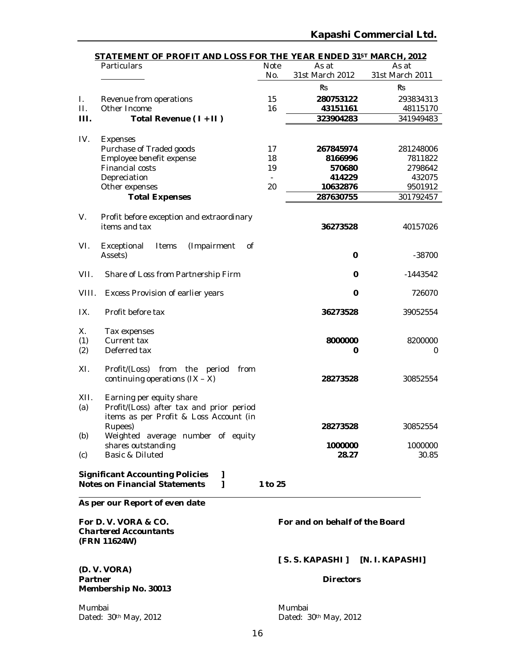| STATEMENT OF PROFIT AND LOSS FOR THE YEAR ENDED 31ST MARCH, 2012 |                                                                                          |         |                 |                 |  |  |
|------------------------------------------------------------------|------------------------------------------------------------------------------------------|---------|-----------------|-----------------|--|--|
|                                                                  | Particulars                                                                              | Note    | As at           | As at           |  |  |
|                                                                  |                                                                                          | No.     | 31st March 2012 | 31st March 2011 |  |  |
|                                                                  |                                                                                          |         | Ŕs              | Ŕs              |  |  |
| L.                                                               | Revenue from operations                                                                  | 15      | 280753122       | 293834313       |  |  |
| П.                                                               | Other Income                                                                             | 16      | 43151161        | 48115170        |  |  |
| Ш.                                                               | Total Revenue (1+II)                                                                     |         | 323904283       | 341949483       |  |  |
| IV.                                                              | Expenses                                                                                 |         |                 |                 |  |  |
|                                                                  | Purchase of Traded goods                                                                 | 17      | 267845974       | 281248006       |  |  |
|                                                                  | Employee benefit expense                                                                 | 18      | 8166996         | 7811822         |  |  |
|                                                                  | Financial costs                                                                          | 19      | 570680          | 2798642         |  |  |
|                                                                  | Depreciation                                                                             |         | 414229          | 432075          |  |  |
|                                                                  | Other expenses                                                                           | 20      | 10632876        | 9501912         |  |  |
|                                                                  | <b>Total Expenses</b>                                                                    |         | 287630755       | 301792457       |  |  |
| V.                                                               | Profit before exception and extraordinary                                                |         |                 |                 |  |  |
|                                                                  | items and tax                                                                            |         | 36273528        | 40157026        |  |  |
|                                                                  |                                                                                          |         |                 |                 |  |  |
| VI.                                                              | (Impairment<br><sub>of</sub><br>Exceptional<br>Items                                     |         |                 |                 |  |  |
|                                                                  | Assets)                                                                                  |         | 0               | $-38700$        |  |  |
| VII.                                                             | Share of Loss from Partnership Firm                                                      |         | 0               | $-1443542$      |  |  |
| VIII.                                                            | Excess Provision of earlier years                                                        |         | $\mathbf 0$     | 726070          |  |  |
| IX.                                                              | Profit before tax                                                                        |         | 36273528        | 39052554        |  |  |
| Х.                                                               | Tax expenses                                                                             |         |                 |                 |  |  |
| (1)                                                              | Current tax                                                                              |         | 8000000         | 8200000         |  |  |
| (2)                                                              | Deferred tax                                                                             |         | 0               | 0               |  |  |
| XI.                                                              | Profit/(Loss) from the<br>period<br>from                                                 |         |                 |                 |  |  |
|                                                                  | continuing operations $(IX - X)$                                                         |         | 28273528        | 30852554        |  |  |
| XII.                                                             | Earning per equity share                                                                 |         |                 |                 |  |  |
| (a)                                                              | Profit/(Loss) after tax and prior period                                                 |         |                 |                 |  |  |
|                                                                  | items as per Profit & Loss Account (in                                                   |         |                 |                 |  |  |
|                                                                  | Rupees)                                                                                  |         | 28273528        | 30852554        |  |  |
| (b)                                                              | Weighted average number of equity                                                        |         |                 |                 |  |  |
|                                                                  | shares outstanding                                                                       |         | 1000000         | 1000000         |  |  |
| (c)                                                              | Basic & Diluted                                                                          |         | 28.27           | 30.85           |  |  |
|                                                                  |                                                                                          |         |                 |                 |  |  |
|                                                                  | <b>Significant Accounting Policies</b><br>I<br>1<br><b>Notes on Financial Statements</b> | 1 to 25 |                 |                 |  |  |
|                                                                  |                                                                                          |         |                 |                 |  |  |
|                                                                  | As per our Report of even date                                                           |         |                 |                 |  |  |

*Chartered Accountants* **(FRN 11624W)**

**(D. V. VORA) Partner** *Directors* **Membership No. 30013**

**For D. V. VORA & CO. For and on behalf of the Board**

**[ S. S. KAPASHI ] [N. I. KAPASHI]**

Mumbai<br>
Dated: 30<sup>th</sup> May, 2012<br>
Dated: 3 Dated: 30th May, 2012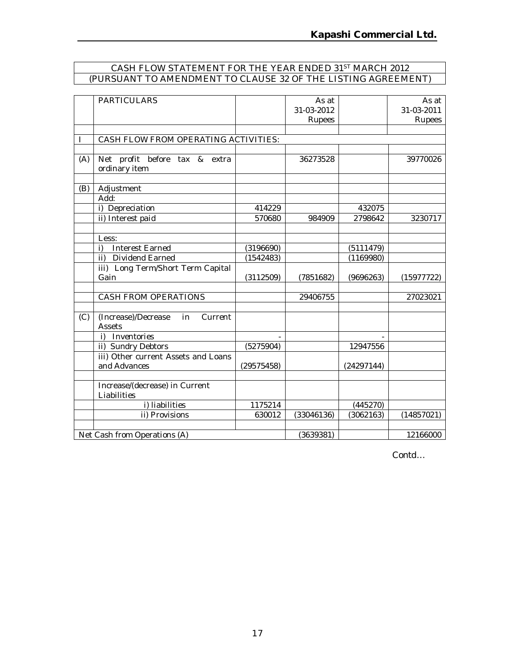#### CASH FLOW STATEMENT FOR THE YEAR ENDED 31ST MARCH 2012 (PURSUANT TO AMENDMENT TO CLAUSE 32 OF THE LISTING AGREEMENT)

|     | <b>PARTICULARS</b>                             |            | As at<br>31-03-2012 |            | As at<br>31-03-2011 |
|-----|------------------------------------------------|------------|---------------------|------------|---------------------|
|     |                                                |            | Rupees              |            | Rupees              |
|     | CASH FLOW FROM OPERATING ACTIVITIES:           |            |                     |            |                     |
|     |                                                |            |                     |            |                     |
| (A) | Net profit before tax & extra<br>ordinary item |            | 36273528            |            | 39770026            |
| (B) | Adjustment                                     |            |                     |            |                     |
|     | Add:                                           |            |                     |            |                     |
|     | i) Depreciation                                | 414229     |                     | 432075     |                     |
|     | ii) Interest paid                              | 570680     | 984909              | 2798642    | 3230717             |
|     |                                                |            |                     |            |                     |
|     | Less:                                          |            |                     |            |                     |
|     | <b>Interest Earned</b><br>i)                   | (3196690)  |                     | (5111479)  |                     |
|     | ii) Dividend Earned                            | (1542483)  |                     | (1169980)  |                     |
|     | iii) Long Term/Short Term Capital              |            |                     |            |                     |
|     | Gain                                           | (3112509)  | (7851682)           | (9696263)  | (15977722)          |
|     |                                                |            |                     |            |                     |
|     | CASH FROM OPERATIONS                           |            | 29406755            |            | 27023021            |
| (C) | (Increase)/Decrease<br>in<br>Current<br>Assets |            |                     |            |                     |
|     | i) Inventories                                 |            |                     |            |                     |
|     | ii) Sundry Debtors                             | (5275904)  |                     | 12947556   |                     |
|     | iii) Other current Assets and Loans            |            |                     |            |                     |
|     | and Advances                                   | (29575458) |                     | (24297144) |                     |
|     |                                                |            |                     |            |                     |
|     | Increase/(decrease) in Current<br>Liabilities  |            |                     |            |                     |
|     | i) liabilities                                 | 1175214    |                     | (445270)   |                     |
|     | ii) Provisions                                 | 630012     | (33046136)          | (3062163)  | (14857021)          |
|     |                                                |            |                     |            |                     |
|     | Net Cash from Operations (A)                   |            | (3639381)           |            | 12166000            |

*Contd…*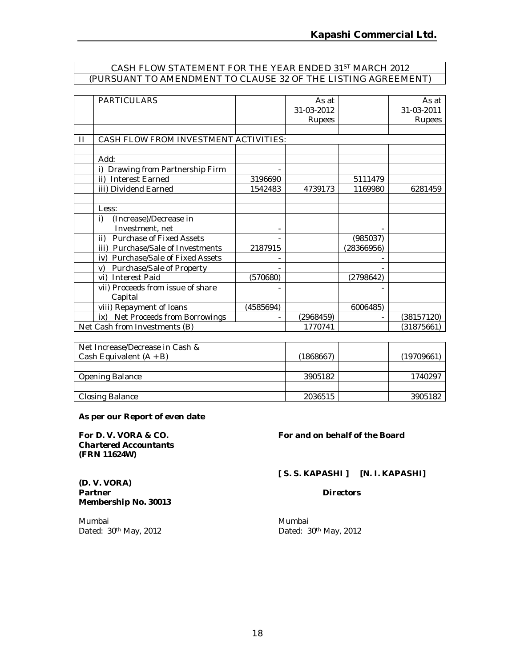## CASH FLOW STATEMENT FOR THE YEAR ENDED 31ST MARCH 2012 (PURSUANT TO AMENDMENT TO CLAUSE 32 OF THE LISTING AGREEMENT)

|              | <b>PARTICULARS</b>                     |           | As at      |            | As at      |
|--------------|----------------------------------------|-----------|------------|------------|------------|
|              |                                        |           | 31-03-2012 |            | 31-03-2011 |
|              |                                        |           | Rupees     |            | Rupees     |
|              |                                        |           |            |            |            |
| $\mathbf{H}$ | CASH FLOW FROM INVESTMENT ACTIVITIES:  |           |            |            |            |
|              |                                        |           |            |            |            |
|              | Add:                                   |           |            |            |            |
|              | Drawing from Partnership Firm          |           |            |            |            |
|              | <b>Interest Earned</b><br>ii)          | 3196690   |            | 5111479    |            |
|              | iii) Dividend Earned                   | 1542483   | 4739173    | 1169980    | 6281459    |
|              |                                        |           |            |            |            |
|              | Less:                                  |           |            |            |            |
|              | (Increase)/Decrease in<br>i)           |           |            |            |            |
|              | Investment, net                        |           |            |            |            |
|              | <b>Purchase of Fixed Assets</b><br>ii) |           |            | (985037)   |            |
|              | Purchase/Sale of Investments<br>iii)   | 2187915   |            | (28366956) |            |
|              | Purchase/Sale of Fixed Assets<br>iv)   |           |            |            |            |
|              | Purchase/Sale of Property<br>V)        |           |            |            |            |
|              | <b>Interest Paid</b><br>vi)            | (570680)  |            | (2798642)  |            |
|              | vii) Proceeds from issue of share      |           |            |            |            |
|              | Capital                                |           |            |            |            |
|              | viii) Repayment of loans               | (4585694) |            | 6006485)   |            |
|              | Net Proceeds from Borrowings<br>ix)    |           | (2968459)  |            | (38157120) |
|              | Net Cash from Investments (B)          |           | 1770741    |            | (31875661) |

| Net Increase/Decrease in Cash & |           |            |
|---------------------------------|-----------|------------|
| Cash Equivalent $(A + B)$       | (1868667) | (19709661) |
|                                 |           |            |
| Opening Balance                 | 3905182   | 1740297    |
|                                 |           |            |
| Closing Balance                 | 2036515   | 3905182    |

#### **As per our Report of even date**

*Chartered Accountants* **(FRN 11624W)**

**Membership No. 30013**

**(D. V. VORA)** 

#### **For D. V. VORA & CO. For and on behalf of the Board**

**[ S. S. KAPASHI ] [N. I. KAPASHI]**

**Partner** *Directors*

Mumbai Mumbai Dated: 30<sup>th</sup> May, 2012 **Dated: 30<sup>th</sup> May, 2012**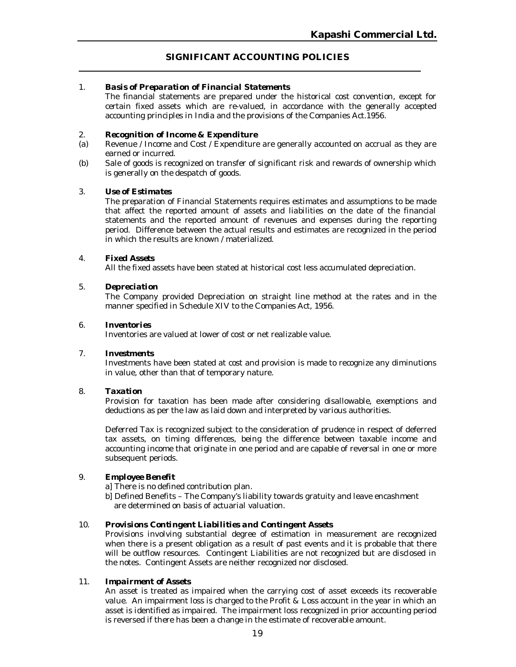#### **SIGNIFICANT ACCOUNTING POLICIES**

#### 1. *Basis of Preparation of Financial Statements*

The financial statements are prepared under the historical cost convention, except for certain fixed assets which are re-valued, in accordance with the generally accepted accounting principles in India and the provisions of the Companies Act.1956.

#### 2. *Recognition of Income & Expenditure*

- (a) Revenue / Income and Cost / Expenditure are generally accounted on accrual as they are earned or incurred.
- (b) Sale of goods is recognized on transfer of significant risk and rewards of ownership which is generally on the despatch of goods.

#### 3. *Use of Estimates*

The preparation of Financial Statements requires estimates and assumptions to be made that affect the reported amount of assets and liabilities on the date of the financial statements and the reported amount of revenues and expenses during the reporting period. Difference between the actual results and estimates are recognized in the period in which the results are known / materialized.

#### 4. *Fixed Assets*

All the fixed assets have been stated at historical cost less accumulated depreciation.

#### 5. *Depreciation*

The Company provided Depreciation on straight line method at the rates and in the manner specified in Schedule XIV to the Companies Act, 1956.

#### 6. *Inventories*

Inventories are valued at lower of cost or net realizable value.

#### 7. *Investments*

Investments have been stated at cost and provision is made to recognize any diminutions in value, other than that of temporary nature.

#### 8. *Taxation*

Provision for taxation has been made after considering disallowable, exemptions and deductions as per the law as laid down and interpreted by various authorities.

Deferred Tax is recognized subject to the consideration of prudence in respect of deferred tax assets, on timing differences, being the difference between taxable income and accounting income that originate in one period and are capable of reversal in one or more subsequent periods.

#### 9. *Employee Benefit*

a] There is no defined contribution plan.

b] Defined Benefits – The Company's liability towards gratuity and leave encashment are determined on basis of actuarial valuation.

#### 10. *Provisions Contingent Liabilities and Contingent Assets*

Provisions involving substantial degree of estimation in measurement are recognized when there is a present obligation as a result of past events and it is probable that there will be outflow resources. Contingent Liabilities are not recognized but are disclosed in the notes. Contingent Assets are neither recognized nor disclosed.

#### 11. *Impairment of Assets*

An asset is treated as impaired when the carrying cost of asset exceeds its recoverable value. An impairment loss is charged to the Profit & Loss account in the year in which an asset is identified as impaired. The impairment loss recognized in prior accounting period is reversed if there has been a change in the estimate of recoverable amount.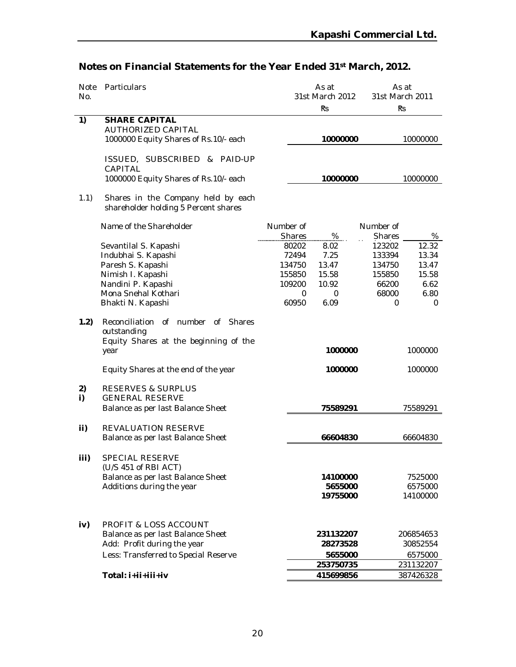| Note     | Particulars                                                                                                                                  | As at<br>As at   |                                               |                  |                                  |
|----------|----------------------------------------------------------------------------------------------------------------------------------------------|------------------|-----------------------------------------------|------------------|----------------------------------|
| No.      |                                                                                                                                              |                  | 31st March 2012                               |                  | 31st March 2011                  |
|          |                                                                                                                                              |                  | Ŕs                                            |                  | Ŕs                               |
| 1)       | <b>SHARE CAPITAL</b><br>AUTHORIZED CAPITAL                                                                                                   |                  |                                               |                  |                                  |
|          | 1000000 Equity Shares of Rs.10/- each                                                                                                        |                  | 10000000                                      |                  | 10000000                         |
|          |                                                                                                                                              |                  |                                               |                  |                                  |
|          | ISSUED, SUBSCRIBED & PAID-UP<br>CAPITAL                                                                                                      |                  |                                               |                  |                                  |
|          | 1000000 Equity Shares of Rs.10/- each                                                                                                        |                  | 10000000                                      |                  | 10000000                         |
| 1.1)     | Shares in the Company held by each<br>shareholder holding 5 Percent shares                                                                   |                  |                                               |                  |                                  |
|          | Name of the Shareholder                                                                                                                      | Number of        |                                               | Number of        |                                  |
|          |                                                                                                                                              | <b>Shares</b>    | %                                             | <b>Shares</b>    | %                                |
|          | Sevantilal S. Kapashi                                                                                                                        | 80202            | 8.02                                          | 123202           | 12.32                            |
|          | Indubhai S. Kapashi                                                                                                                          | 72494            | 7.25                                          | 133394           | 13.34                            |
|          | Paresh S. Kapashi<br>Nimish I. Kapashi                                                                                                       | 134750<br>155850 | 13.47<br>15.58                                | 134750<br>155850 | 13.47<br>15.58                   |
|          | Nandini P. Kapashi                                                                                                                           | 109200           | 10.92                                         | 66200            | 6.62                             |
|          | Mona Snehal Kothari                                                                                                                          | 0                | $\mathbf 0$                                   | 68000            | 6.80                             |
|          | Bhakti N. Kapashi                                                                                                                            | 60950            | 6.09                                          | 0                | 0                                |
| 1.2)     | Reconciliation<br>of number<br>of Shares<br>outstanding<br>Equity Shares at the beginning of the<br>year                                     |                  | 1000000                                       |                  | 1000000                          |
|          | Equity Shares at the end of the year                                                                                                         |                  | 1000000                                       |                  | 1000000                          |
| 2)<br>i) | <b>RESERVES &amp; SURPLUS</b><br><b>GENERAL RESERVE</b><br>Balance as per last Balance Sheet                                                 |                  | 75589291                                      |                  | 75589291                         |
|          |                                                                                                                                              |                  |                                               |                  |                                  |
| ii)      | REVALUATION RESERVE                                                                                                                          |                  |                                               |                  |                                  |
|          | Balance as per last Balance Sheet                                                                                                            |                  | 66604830                                      |                  | 66604830                         |
| iii)     | <b>SPECIAL RESERVE</b><br>(U/S 451 of RBI ACT)<br>Balance as per last Balance Sheet<br>Additions during the year                             |                  | 14100000<br>5655000<br>19755000               |                  | 7525000<br>6575000<br>14100000   |
| iv)      | <b>PROFIT &amp; LOSS ACCOUNT</b><br>Balance as per last Balance Sheet<br>Add: Profit during the year<br>Less: Transferred to Special Reserve |                  | 231132207<br>28273528<br>5655000<br>253750735 |                  | 206854653<br>30852554<br>6575000 |
|          | Total: i+ii+iii+iv                                                                                                                           |                  | 415699856                                     |                  | 231132207<br>387426328           |
|          |                                                                                                                                              |                  |                                               |                  |                                  |

# **Notes on Financial Statements for the Year Ended 31st March, 2012.**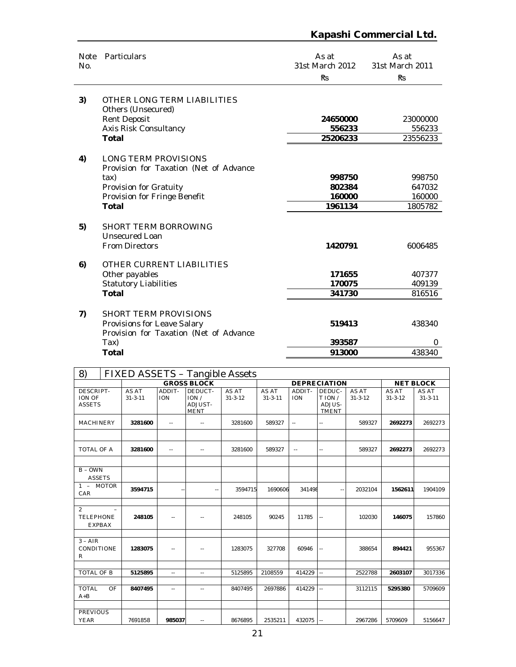#### Note Particulars and the Second Second Second As at Assats As at Assats As at Assats As at Assats Assats Assats Assats Assats Assats Assats Assats Assats Assats Assats Assats Assats Assats Assats Assats Assats Assats Assat No. 31st March 2012 As at 31st March 2011 ₨ ₨ **3)** OTHER LONG TERM LIABILITIES Others (Unsecured) Rent Deposit **24650000** 23000000 Axis Risk Consultancy **556233** 556233<br> **1988** 556233<br> **1988** 556233<br> **1988** 556233 **Total** 25206233 **4)** LONG TERM PROVISIONS Provision for Taxation (Net of Advance tax) **998750** 998750 Provision for Gratuity **802384** 647032 Provision for Fringe Benefit **160000** 160000 **Total 1961134** 1805782 **5)** SHORT TERM BORROWING Unsecured Loan From Directors **1420791** 6006485 **6)** OTHER CURRENT LIABILITIES Other payables **171655** 407377 Statutory Liabilities **170075** 409139<br> **170075** 409139<br> **1701al** 341730 816516 **Total 341730** 816516 **7)** SHORT TERM PROVISIONS Provisions for Leave Salary **619413** 438340 Provision for Taxation (Net of Advance<br>Tax) Tax) **393587** 0 **Total 913000** 438340

| 8)                                                  | FIXED ASSETS - Tangible Assets |                            |                                           |                        |                        |                            |                                            |                        |                        |                        |  |
|-----------------------------------------------------|--------------------------------|----------------------------|-------------------------------------------|------------------------|------------------------|----------------------------|--------------------------------------------|------------------------|------------------------|------------------------|--|
|                                                     |                                |                            | <b>GROSS BLOCK</b>                        |                        |                        |                            | <b>DEPRECIATION</b>                        |                        |                        | <b>NET BLOCK</b>       |  |
| DESCRIPT-<br><b>ION OF</b><br><b>ASSETS</b>         | AS AT<br>$31 - 3 - 11$         | ADDIT-<br><b>ION</b>       | DEDUCT-<br>ION/<br>ADJUST-<br><b>MENT</b> | AS AT<br>$31 - 3 - 12$ | AS AT<br>$31 - 3 - 11$ | ADDIT-<br><b>ION</b>       | DEDUC-<br>T ION/<br>ADJUS-<br><b>TMENT</b> | AS AT<br>$31 - 3 - 12$ | AS AT<br>$31 - 3 - 12$ | AS AT<br>$31 - 3 - 11$ |  |
| <b>MACHINERY</b>                                    | 3281600                        | $\overline{\phantom{a}}$ . | $\sim$ $\sim$                             | 3281600                | 589327                 | ٠.                         | ä,                                         | 589327                 | 2692273                | 2692273                |  |
| <b>TOTAL OF A</b>                                   | 3281600                        | $\overline{a}$             | $\sim$ $\sim$                             | 3281600                | 589327                 | $\overline{\phantom{a}}$ . | $-1$                                       | 589327                 | 2692273                | 2692273                |  |
| $B - OWN$<br><b>ASSETS</b>                          |                                |                            |                                           |                        |                        |                            |                                            |                        |                        |                        |  |
| 1 - MOTOR<br>CAR                                    | 3594715                        |                            | $\sim$ $\sim$                             | 3594715                | 1690606                | 341498                     | $\sim$ $\sim$                              | 2032104                | 1562611                | 1904109                |  |
| $\overline{2}$<br><b>TELEPHONE</b><br><b>EXPBAX</b> | 248105                         | $\sim$ $\sim$              | $\overline{\phantom{a}}$                  | 248105                 | 90245                  | 11785                      | ω.                                         | 102030                 | 146075                 | 157860                 |  |
| $3 - AIR$<br>CONDITIONE<br>$\mathsf{R}$             | 1283075                        |                            |                                           | 1283075                | 327708                 | 60946                      | Ξ.                                         | 388654                 | 894421                 | 955367                 |  |
| <b>TOTAL OF B</b>                                   | 5125895                        | $\mathbf{L}$               | $\sim$ $\sim$                             | 5125895                | 2108559                | 414229                     | Щ.                                         | 2522788                | 2603107                | 3017336                |  |
| <b>TOTAL</b><br>$A + B$                             | OF<br>8407495                  | $\overline{\phantom{a}}$   | $\sim$ $\sim$                             | 8407495                | 2697886                | 414229                     | u,                                         | 3112115                | 5295380                | 5709609                |  |
| <b>PREVIOUS</b><br><b>YEAR</b>                      | 7691858                        | 985037                     | $\sim$ $\sim$                             | 8676895                | 2535211                | 432075                     | Ц.                                         | 2967286                | 5709609                | 5156647                |  |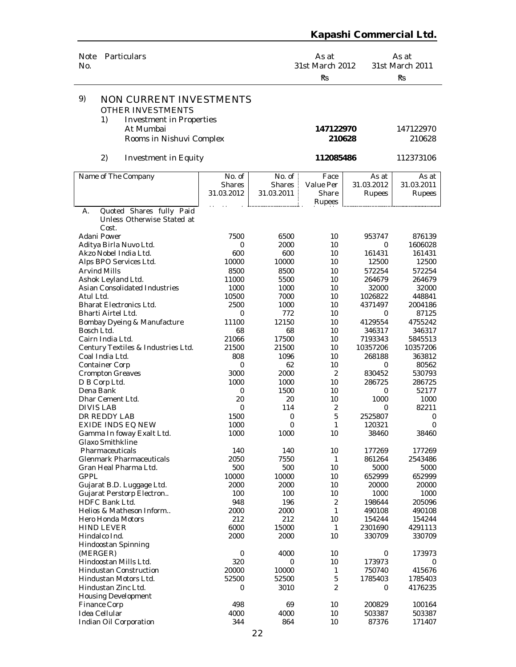| Particulars<br><b>Note</b><br>No.                                                                  |                                |                                                | As at<br>31st March 2012<br>Ŕз       |                               | As at<br>31st March 2011<br>Rs |
|----------------------------------------------------------------------------------------------------|--------------------------------|------------------------------------------------|--------------------------------------|-------------------------------|--------------------------------|
| 9)<br><b>NON CURRENT INVESTMENTS</b><br>OTHER INVESTMENTS<br>1)<br><b>Investment in Properties</b> |                                |                                                |                                      |                               |                                |
| At Mumbai<br>Rooms in Nishuvi Complex                                                              |                                |                                                | 147122970<br>210628                  |                               | 147122970<br>210628            |
| 2)<br>Investment in Equity                                                                         |                                |                                                | 112085486                            |                               | 112373106                      |
| Name of The Company                                                                                | No. of<br>Shares<br>31.03.2012 | No. of $\vdash$<br><b>Shares</b><br>31.03.2011 | Face<br>Value Per<br>Share<br>Rupees | As at<br>31.03.2012<br>Rupees | As at<br>31.03.2011<br>Rupees  |
| Quoted Shares fully Paid<br>А.<br>Unless Otherwise Stated at                                       |                                |                                                |                                      |                               |                                |
| Cost.                                                                                              |                                |                                                |                                      |                               |                                |
| Adani Power                                                                                        | 7500                           | 6500                                           | 10                                   | 953747                        | 876139                         |
| Aditya Birla Nuvo Ltd.<br>Akzo Nobel India Ltd.                                                    | 0<br>600                       | 2000<br>600                                    | 10<br>10                             | 0<br>161431                   | 1606028<br>161431              |
| Alps BPO Services Ltd.                                                                             | 10000                          | 10000                                          | 10                                   | 12500                         | 12500                          |
| <b>Arvind Mills</b>                                                                                | 8500                           | 8500                                           | 10                                   | 572254                        | 572254                         |
| Ashok Leyland Ltd.                                                                                 | 11000                          | 5500                                           | 10                                   | 264679                        | 264679                         |
| Asian Consolidated Industries                                                                      | 1000                           | 1000                                           | 10                                   | 32000                         | 32000                          |
| Atul Ltd.                                                                                          | 10500                          | 7000                                           | 10                                   | 1026822                       | 448841                         |
| <b>Bharat Electronics Ltd.</b>                                                                     | 2500                           | 1000                                           | 10                                   | 4371497                       | 2004186                        |
| Bharti Airtel Ltd.                                                                                 | 0                              | 772                                            | 10                                   | 0                             | 87125                          |
| Bombay Dyeing & Manufacture                                                                        | 11100                          | 12150                                          | 10                                   | 4129554                       | 4755242                        |
| Bosch Ltd.                                                                                         | 68                             | 68                                             | 10                                   | 346317                        | 346317                         |
| Cairn India Ltd.                                                                                   | 21066                          | 17500                                          | 10                                   | 7193343                       | 5845513                        |
| Century Textiles & Industries Ltd.                                                                 | 21500                          | 21500                                          | 10                                   | 10357206                      | 10357206                       |
| Coal India Ltd.                                                                                    | 808                            | 1096                                           | 10                                   | 268188                        | 363812                         |
| <b>Container Corp</b>                                                                              | 0                              | 62                                             | 10                                   | 0                             | 80562                          |
| <b>Crompton Greaves</b>                                                                            | 3000                           | 2000                                           | 2                                    | 830452                        | 530793                         |
| D B Corp Ltd.                                                                                      | 1000                           | 1000                                           | 10                                   | 286725                        | 286725                         |
| Dena Bank                                                                                          | 0                              | 1500                                           | 10                                   | 0                             | 52177                          |
| Dhar Cement Ltd.<br><b>DIVIS LAB</b>                                                               | 20<br>0                        | 20<br>114                                      | 10<br>$\overline{2}$                 | 1000<br>0                     | 1000<br>82211                  |
| DR REDDY LAB                                                                                       | 1500                           | 0                                              | 5                                    | 2525807                       | 0                              |
| EXIDE INDS EQ NEW                                                                                  | 1000                           | $\mathbf 0$                                    | 1                                    | 120321                        | $\boldsymbol{0}$               |
| Gamma In foway Exalt Ltd.                                                                          | 1000                           | 1000                                           | 10                                   | 38460                         | 38460                          |
| <b>Glaxo Smithkline</b>                                                                            |                                |                                                |                                      |                               |                                |
| Pharmaceuticals                                                                                    | 140                            | 140                                            | 10                                   | 177269                        | 177269                         |
| <b>Glenmark Pharmaceuticals</b>                                                                    | 2050                           | 7550                                           | 1                                    | 861264                        | 2543486                        |
| Gran Heal Pharma Ltd.                                                                              | 500                            | 500                                            | 10                                   | 5000                          | 5000                           |
| <b>GPPL</b>                                                                                        | 10000                          | 10000                                          | 10                                   | 652999                        | 652999                         |
| Gujarat B.D. Luggage Ltd.                                                                          | 2000                           | 2000                                           | 10                                   | 20000                         | 20000                          |
| Gujarat Perstorp Electron                                                                          | 100                            | 100                                            | 10                                   | 1000                          | 1000                           |
| HDFC Bank Ltd.                                                                                     | 948                            | 196                                            | $\overline{2}$                       | 198644                        | 205096                         |
| Helios & Matheson Inform                                                                           | 2000                           | 2000                                           | $\mathbf{1}$                         | 490108                        | 490108                         |
| <b>Hero Honda Motors</b>                                                                           | 212                            | 212                                            | 10                                   | 154244                        | 154244                         |
| <b>HIND LEVER</b>                                                                                  | 6000                           | 15000                                          | 1                                    | 2301690                       | 4291113                        |
| Hindalco Ind.                                                                                      | 2000                           | 2000                                           | 10                                   | 330709                        | 330709                         |
| Hindoostan Spinning                                                                                | 0                              | 4000                                           | 10                                   | 0                             | 173973                         |
| (MERGER)<br>Hindoostan Mills Ltd.                                                                  | 320                            | 0                                              | 10                                   | 173973                        | 0                              |
| <b>Hindustan Construction</b>                                                                      | 20000                          | 10000                                          | 1                                    | 750740                        | 415676                         |
| Hindustan Motors Ltd.                                                                              | 52500                          | 52500                                          | 5                                    | 1785403                       | 1785403                        |
| Hindustan Zinc Ltd.                                                                                | 0                              | 3010                                           | $\overline{2}$                       | 0                             | 4176235                        |
| <b>Housing Development</b>                                                                         |                                |                                                |                                      |                               |                                |
| Finance Corp                                                                                       | 498                            | 69                                             | 10                                   | 200829                        | 100164                         |
| Idea Cellular                                                                                      | 4000                           | 4000                                           | 10                                   | 503387                        | 503387                         |
| Indian Oil Corporation                                                                             | 344                            | 864                                            | 10                                   | 87376                         | 171407                         |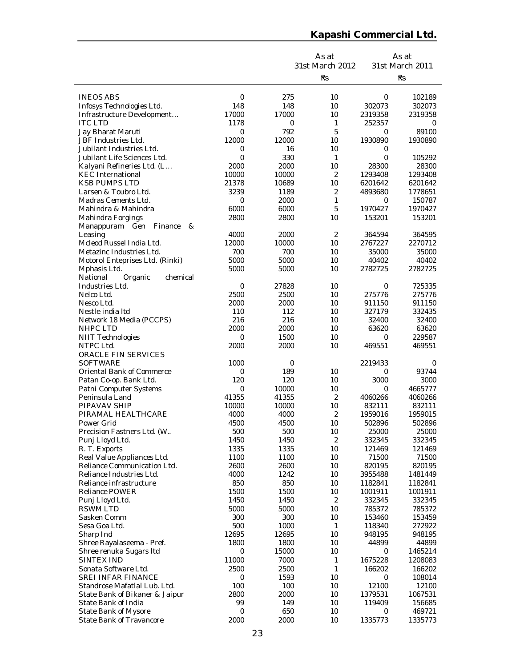|                                                       |                  |              | As at           |                    | As at              |
|-------------------------------------------------------|------------------|--------------|-----------------|--------------------|--------------------|
|                                                       |                  |              | 31st March 2012 |                    | 31st March 2011    |
|                                                       |                  |              | Ŕs              |                    | Ŕs                 |
|                                                       |                  |              |                 |                    |                    |
| <b>INEOS ABS</b>                                      | $\mathbf 0$      | 275          | 10              | 0                  | 102189             |
| Infosys Technologies Ltd.                             | 148              | 148          | 10              | 302073             | 302073             |
| Infrastructure Development                            | 17000            | 17000        | 10              | 2319358            | 2319358            |
| <b>ITC LTD</b>                                        | 1178             | 0            | 1               | 252357             | 0                  |
| Jay Bharat Maruti<br>JBF Industries Ltd.              | 0<br>12000       | 792<br>12000 | 5<br>10         | 0<br>1930890       | 89100<br>1930890   |
| Jubilant Industries Ltd.                              | 0                | 16           | 10              | 0                  |                    |
| Jubilant Life Sciences Ltd.                           | 0                | 330          | 1               | 0                  | 105292             |
| Kalyani Refineries Ltd. (L                            | 2000             | 2000         | 10              | 28300              | 28300              |
| <b>KEC</b> International                              | 10000            | 10000        | 2               | 1293408            | 1293408            |
| <b>KSB PUMPS LTD</b>                                  | 21378            | 10689        | 10              | 6201642            | 6201642            |
| Larsen & Toubro Ltd.                                  | 3239             | 1189         | 2               | 4893680            | 1778651            |
| Madras Cements Ltd.                                   | 0                | 2000         | 1               | 0                  | 150787             |
| Mahindra & Mahindra                                   | 6000             | 6000         | 5               | 1970427            | 1970427            |
| Mahindra Forgings                                     | 2800             | 2800         | 10              | 153201             | 153201             |
| Manappuram Gen<br>Finance<br>&                        |                  |              |                 |                    |                    |
| Leasing                                               | 4000             | 2000         | 2               | 364594             | 364595             |
| Mcleod Russel India Ltd.                              | 12000            | 10000        | 10              | 2767227            | 2270712            |
| Metazinc Industries Ltd.                              | 700<br>5000      | 700<br>5000  | 10<br>10        | 35000<br>40402     | 35000<br>40402     |
| Motorol Enteprises Ltd. (Rinki)<br>Mphasis Ltd.       | 5000             | 5000         | 10              | 2782725            | 2782725            |
| National<br>Organic<br>chemical                       |                  |              |                 |                    |                    |
| Industries Ltd.                                       | 0                | 27828        | 10              | 0                  | 725335             |
| Nelco Ltd.                                            | 2500             | 2500         | 10              | 275776             | 275776             |
| Nesco Ltd.                                            | 2000             | 2000         | 10              | 911150             | 911150             |
| Nestle india Itd                                      | 110              | 112          | 10              | 327179             | 332435             |
| Network 18 Media (PCCPS)                              | 216              | 216          | 10              | 32400              | 32400              |
| <b>NHPC LTD</b>                                       | 2000             | 2000         | 10              | 63620              | 63620              |
| <b>NIIT Technologies</b>                              | 0                | 1500         | 10              | 0                  | 229587             |
| NTPC Ltd.                                             | 2000             | 2000         | 10              | 469551             | 469551             |
| ORACLE FIN SERVICES                                   |                  |              |                 |                    |                    |
| SOFTWARE<br>Oriental Bank of Commerce                 | 1000<br>0        | 0<br>189     | 10              | 2219433<br>0       | 0<br>93744         |
| Patan Co-op. Bank Ltd.                                | 120              | 120          | 10              | 3000               | 3000               |
| Patni Computer Systems                                | $\mathbf 0$      | 10000        | 10              | 0                  | 4665777            |
| Peninsula Land                                        | 41355            | 41355        | $\overline{2}$  | 4060266            | 4060266            |
| PIPAVAV SHIP                                          | 10000            | 10000        | 10              | 832111             | 832111             |
| PIRAMAL HEALTHCARE                                    | 4000             | 4000         | 2               | 1959016            | 1959015            |
| Power Grid                                            | 4500             | 4500         | 10              | 502896             | 502896             |
| Precision Fastners Ltd. (W                            | 500              | 500          | 10              | 25000              | 25000              |
| Punj Lloyd Ltd.                                       | 1450             | 1450         | 2               | 332345             | 332345             |
| R. T. Exports                                         | 1335             | 1335         | 10              | 121469             | 121469             |
| Real Value Appliances Ltd.                            | 1100             | 1100         | 10              | 71500              | 71500              |
| Reliance Communication Ltd.                           | 2600             | 2600         | 10              | 820195             | 820195             |
| Reliance Industries Ltd.<br>Reliance infrastructure   | 4000<br>850      | 1242<br>850  | 10<br>10        | 3955488<br>1182841 | 1481449            |
| <b>Reliance POWER</b>                                 | 1500             | 1500         | 10              | 1001911            | 1182841<br>1001911 |
| Punj Lloyd Ltd.                                       | 1450             | 1450         | 2               | 332345             | 332345             |
| <b>RSWM LTD</b>                                       | 5000             | 5000         | 10              | 785372             | 785372             |
| Sasken Comm                                           | 300              | 300          | 10              | 153460             | 153459             |
| Sesa Goa Ltd.                                         | 500              | 1000         | 1               | 118340             | 272922             |
| Sharp Ind                                             | 12695            | 12695        | 10              | 948195             | 948195             |
| Shree Rayalaseema - Pref.                             | 1800             | 1800         | 10              | 44899              | 44899              |
| Shree renuka Sugars Itd                               | 0                | 15000        | 10              | 0                  | 1465214            |
| SINTEX IND                                            | 11000            | 7000         | 1               | 1675228            | 1208083            |
| Sonata Software Ltd.                                  | 2500             | 2500         | 1               | 166202             | 166202             |
| <b>SREI INFAR FINANCE</b>                             | $\mathbf 0$      | 1593         | 10              | 0                  | 108014             |
| Standrose Mafatlal Lub. Ltd.                          | 100<br>2800      | 100          | 10              | 12100              | 12100              |
| State Bank of Bikaner & Jaipur<br>State Bank of India | 99               | 2000<br>149  | 10<br>10        | 1379531<br>119409  | 1067531<br>156685  |
| State Bank of Mysore                                  | $\boldsymbol{0}$ | 650          | 10              | 0                  | 469721             |
| State Bank of Travancore                              | 2000             | 2000         | 10              | 1335773            | 1335773            |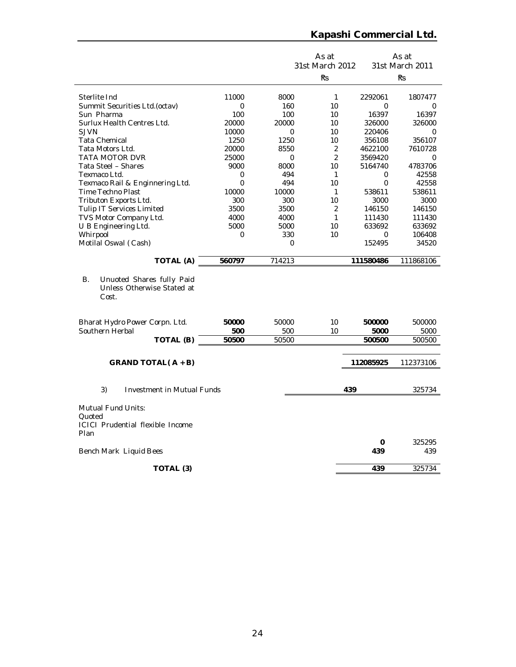|                                                                                        |              |              | As at<br>31st March 2012 |                 | As at<br>31st March 2011 |
|----------------------------------------------------------------------------------------|--------------|--------------|--------------------------|-----------------|--------------------------|
|                                                                                        |              |              | ₹₹.                      |                 | ₹S                       |
|                                                                                        |              |              |                          |                 |                          |
| Sterlite Ind                                                                           | 11000        | 8000         | $\mathbf{1}$             | 2292061         | 1807477                  |
| Summit Securities Ltd. (octav)                                                         | 0            | 160          | 10                       | $\Omega$        | 0<br>16397               |
| Sun Pharma<br>Surlux Health Centres Ltd.                                               | 100<br>20000 | 100<br>20000 | 10<br>10                 | 16397<br>326000 | 326000                   |
| <b>SJVN</b>                                                                            | 10000        | 0            | 10                       | 220406          | $\Omega$                 |
| <b>Tata Chemical</b>                                                                   | 1250         | 1250         | 10                       | 356108          | 356107                   |
| Tata Motors Ltd.                                                                       | 20000        | 8550         | 2                        | 4622100         | 7610728                  |
| <b>TATA MOTOR DVR</b>                                                                  | 25000        | 0            | 2                        | 3569420         | 0                        |
| Tata Steel - Shares                                                                    | 9000         | 8000         | 10                       | 5164740         | 4783706                  |
| Texmaco Ltd.                                                                           | 0            | 494          | $\mathbf{1}$             | 0               | 42558                    |
| Texmaco Rail & Enginnering Ltd.                                                        | $\Omega$     | 494          | 10                       | $\Omega$        | 42558                    |
| Time Techno Plast                                                                      | 10000        | 10000        | $\mathbf{1}$             | 538611          | 538611                   |
| Tributon Exports Ltd.                                                                  | 300          | 300          | 10                       | 3000            | 3000                     |
| Tulip IT Services Limited                                                              | 3500         | 3500         | 2                        | 146150          | 146150                   |
| TVS Motor Company Ltd.                                                                 | 4000         | 4000         | 1                        | 111430          | 111430                   |
| U B Engineering Ltd.                                                                   | 5000         | 5000         | 10                       | 633692          | 633692                   |
| Whirpool                                                                               | 0            | 330          | 10                       | $\Omega$        | 106408                   |
| Motilal Oswal (Cash)                                                                   |              | 0            |                          | 152495          | 34520                    |
| TOTAL (A)                                                                              | 560797       | 714213       |                          | 111580486       | 111868106                |
| В.<br>Unuoted Shares fully Paid<br>Unless Otherwise Stated at<br>Cost.                 |              |              |                          |                 |                          |
| Bharat Hydro Power Corpn. Ltd.<br>Southern Herbal                                      | 50000<br>500 | 50000<br>500 | 10<br>10                 | 500000<br>5000  | 500000<br>5000           |
| TOTAL (B)                                                                              | 50500        | 50500        |                          | 500500          | 500500                   |
|                                                                                        |              |              |                          |                 |                          |
| GRAND TOTAL( $A + B$ )                                                                 |              |              |                          | 112085925       | 112373106                |
| 3)<br><b>Investment in Mutual Funds</b>                                                |              |              | 439                      |                 | 325734                   |
|                                                                                        |              |              |                          |                 |                          |
| <b>Mutual Fund Units:</b><br>Ouoted<br><b>ICICI Prudential flexible Income</b><br>Plan |              |              |                          |                 |                          |
| Bench Mark Liquid Bees                                                                 |              |              |                          | 0<br>439        | 325295<br>439            |
| TOTAL (3)                                                                              |              |              |                          | 439             | 325734                   |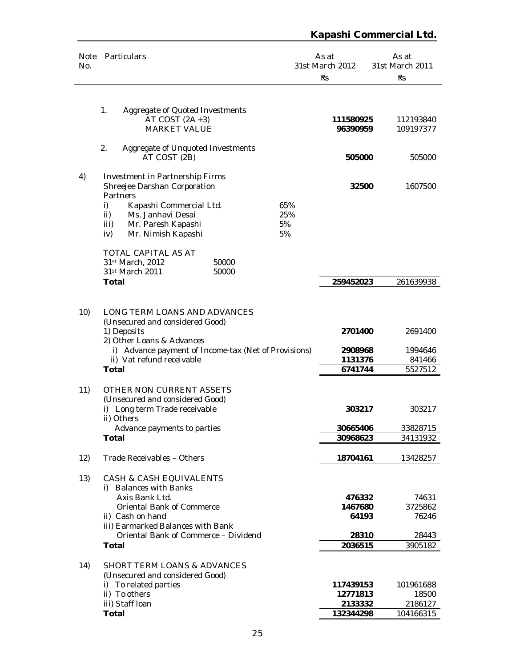| Note<br>No. | Particulars                                                                                                                                                                                                                 |                        | As at<br>31st March 2012<br>Ŕs                 | As at<br>31st March 2011<br>Ŕs                |
|-------------|-----------------------------------------------------------------------------------------------------------------------------------------------------------------------------------------------------------------------------|------------------------|------------------------------------------------|-----------------------------------------------|
|             | Aggregate of Quoted Investments<br>1.<br>AT COST $(2A + 3)$<br><b>MARKET VALUE</b>                                                                                                                                          |                        | 111580925<br>96390959                          | 112193840<br>109197377                        |
|             | 2.<br>Aggregate of Unquoted Investments<br>AT COST (2B)                                                                                                                                                                     |                        | 505000                                         | 505000                                        |
| 4)          | Investment in Partnership Firms<br>Shreejee Darshan Corporation<br>Partners<br>i)<br>Kapashi Commercial Ltd.<br>Ms. Janhavi Desai<br>ii)<br>iii)<br>Mr. Paresh Kapashi<br>iv)<br>Mr. Nimish Kapashi                         | 65%<br>25%<br>5%<br>5% | 32500                                          | 1607500                                       |
|             | TOTAL CAPITAL AS AT<br>50000<br>31st March, 2012<br>31st March 2011<br>50000<br>Total                                                                                                                                       |                        | 259452023                                      | 261639938                                     |
| 10)         | LONG TERM LOANS AND ADVANCES<br>(Unsecured and considered Good)<br>1) Deposits<br>2) Other Loans & Advances<br>i) Advance payment of Income-tax (Net of Provisions)<br>ii) Vat refund receivable                            |                        | 2701400<br>2908968<br>1131376                  | 2691400<br>1994646<br>841466                  |
|             | <b>Total</b>                                                                                                                                                                                                                |                        | 6741744                                        | 5527512                                       |
| 11)         | OTHER NON CURRENT ASSETS<br>(Unsecured and considered Good)<br>i) Long term Trade receivable<br>ii) Others<br>Advance payments to parties<br><b>Total</b>                                                                   |                        | 303217<br>30665406<br>30968623                 | 303217<br>33828715<br>34131932                |
| 12)         | Trade Receivables - Others                                                                                                                                                                                                  |                        | 18704161                                       | 13428257                                      |
| 13)         | CASH & CASH EQUIVALENTS<br><b>Balances with Banks</b><br>i)<br>Axis Bank Ltd.<br>Oriental Bank of Commerce<br>ii) Cash on hand<br>iii) Earmarked Balances with Bank<br>Oriental Bank of Commerce - Dividend<br><b>Total</b> |                        | 476332<br>1467680<br>64193<br>28310<br>2036515 | 74631<br>3725862<br>76246<br>28443<br>3905182 |
| 14)         | <b>SHORT TERM LOANS &amp; ADVANCES</b><br>(Unsecured and considered Good)<br>i) To related parties<br>ii) To others<br>iii) Staff Ioan<br><b>Total</b>                                                                      |                        | 117439153<br>12771813<br>2133332<br>132344298  | 101961688<br>18500<br>2186127<br>104166315    |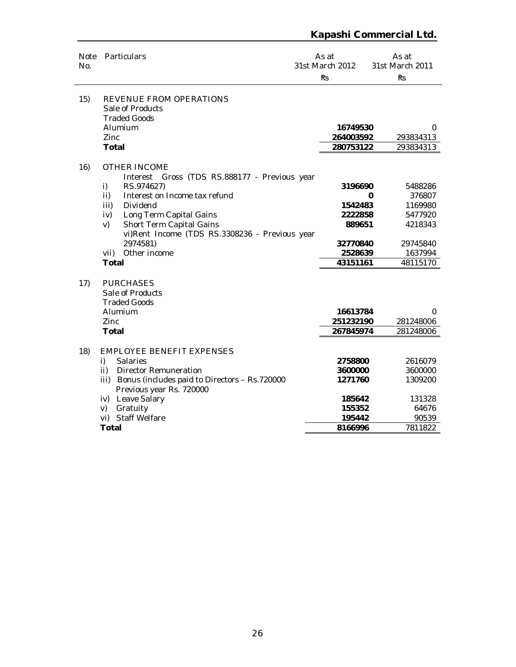| <b>Note</b><br>No. | Particulars                                                                                                                                                                                                                                                                                                                    | As at<br>31st March 2012<br><b>Rs</b>                                      | As at<br>31st March 2011<br><b>Rs</b>                                                      |  |
|--------------------|--------------------------------------------------------------------------------------------------------------------------------------------------------------------------------------------------------------------------------------------------------------------------------------------------------------------------------|----------------------------------------------------------------------------|--------------------------------------------------------------------------------------------|--|
| 15)                | REVENUE FROM OPERATIONS<br>Sale of Products<br><b>Traded Goods</b><br>Alumium<br>Zinc                                                                                                                                                                                                                                          | 16749530<br>264003592                                                      | 0<br>293834313                                                                             |  |
|                    | <b>Total</b>                                                                                                                                                                                                                                                                                                                   | 280753122                                                                  | 293834313                                                                                  |  |
| 16)                | <b>OTHER INCOME</b><br>Interest Gross (TDS RS.888177 - Previous year<br>RS.974627)<br>i)<br>Interest on Income tax refund<br>ii)<br>Dividend<br>iii)<br>Long Term Capital Gains<br>iv)<br>Short Term Capital Gains<br>V)<br>vi)Rent Income (TDS RS.3308236 - Previous year<br>2974581)<br>Other income<br>vii)<br><b>Total</b> | 3196690<br>1542483<br>2222858<br>889651<br>32770840<br>2528639<br>43151161 | 5488286<br>376807<br>0<br>1169980<br>5477920<br>4218343<br>29745840<br>1637994<br>48115170 |  |
| 17)                | <b>PURCHASES</b><br>Sale of Products<br><b>Traded Goods</b><br>Alumium<br>Zinc<br>Total                                                                                                                                                                                                                                        | 16613784<br>251232190<br>267845974                                         | 0<br>281248006<br>281248006                                                                |  |
| 18)                | <b>EMPLOYEE BENEFIT EXPENSES</b><br><b>Salaries</b><br>i)<br>$\mathsf{ii}$<br><b>Director Remuneration</b><br>iii) Bonus (includes paid to Directors - Rs.720000<br>Previous year Rs. 720000<br>Leave Salary<br>iv)<br>Gratuity<br>V)<br>vi) Staff Welfare<br><b>Total</b>                                                     | 2758800<br>3600000<br>1271760<br>185642<br>155352<br>195442<br>8166996     | 2616079<br>3600000<br>1309200<br>131328<br>64676<br>90539<br>7811822                       |  |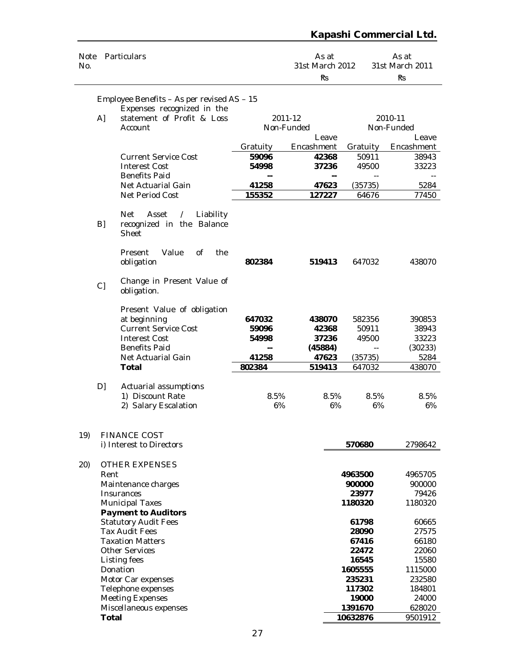| Note<br>No. |              | Particulars                                                                        |                                   | As at<br>31st March 2012<br><b>Rs</b> |                   | As at<br>31st March 2011<br><b>Rs</b> |  |
|-------------|--------------|------------------------------------------------------------------------------------|-----------------------------------|---------------------------------------|-------------------|---------------------------------------|--|
|             |              | Employee Benefits - As per revised AS - 15                                         |                                   |                                       |                   |                                       |  |
|             |              | Expenses recognized in the                                                         |                                   |                                       |                   |                                       |  |
|             | A]           | statement of Profit & Loss                                                         |                                   | 2011-12                               |                   | 2010-11                               |  |
|             |              | Account                                                                            | Non-Funded                        |                                       | Non-Funded        |                                       |  |
|             |              |                                                                                    |                                   | Leave                                 |                   | Leave                                 |  |
|             |              |                                                                                    | Gratuity                          | Encashment                            | Gratuity          | Encashment                            |  |
|             |              | <b>Current Service Cost</b>                                                        | 59096                             | 42368                                 | 50911             | 38943                                 |  |
|             |              | <b>Interest Cost</b>                                                               | 54998                             | 37236                                 | 49500             | 33223                                 |  |
|             |              | <b>Benefits Paid</b><br>Net Actuarial Gain                                         | 41258                             | --<br>47623                           |                   |                                       |  |
|             |              | Net Period Cost                                                                    | 155352                            | 127227                                | (35735)<br>64676  | 5284<br>77450                         |  |
|             |              |                                                                                    |                                   |                                       |                   |                                       |  |
|             | B]           | <b>Net</b><br>Asset<br>Liability<br>$\prime$<br>recognized in the Balance<br>Sheet |                                   |                                       |                   |                                       |  |
|             |              | Value<br>0f<br>the<br>Present<br>obligation                                        | 802384                            | 519413                                | 647032            | 438070                                |  |
|             | C]           | Change in Present Value of<br>obligation.                                          |                                   |                                       |                   |                                       |  |
|             |              | Present Value of obligation                                                        |                                   |                                       |                   |                                       |  |
|             |              | at beginning                                                                       | 647032                            | 438070                                | 582356            | 390853                                |  |
|             |              | <b>Current Service Cost</b>                                                        | 59096                             | 42368                                 | 50911             | 38943                                 |  |
|             |              | <b>Interest Cost</b>                                                               | 54998                             | 37236                                 | 49500             | 33223                                 |  |
|             |              | <b>Benefits Paid</b><br>Net Actuarial Gain                                         | $\overline{\phantom{a}}$<br>41258 | (45884)                               | $\overline{a}$    | (30233)<br>5284                       |  |
|             |              | <b>Total</b>                                                                       | 802384                            | 47623<br>519413                       | (35735)<br>647032 | 438070                                |  |
|             |              |                                                                                    |                                   |                                       |                   |                                       |  |
|             | D]           | Actuarial assumptions                                                              |                                   |                                       |                   |                                       |  |
|             |              | 1) Discount Rate                                                                   | 8.5%                              | 8.5%                                  | 8.5%              | 8.5%                                  |  |
|             |              | 2) Salary Escalation                                                               | 6%                                | 6%                                    | 6%                | 6%                                    |  |
|             |              |                                                                                    |                                   |                                       |                   |                                       |  |
| 19)         |              | <b>FINANCE COST</b><br>i) Interest to Directors                                    |                                   |                                       |                   | 2798642                               |  |
|             |              |                                                                                    |                                   |                                       | 570680            |                                       |  |
| 20)         |              | <b>OTHER EXPENSES</b>                                                              |                                   |                                       |                   |                                       |  |
|             | Rent         |                                                                                    |                                   |                                       | 4963500           | 4965705                               |  |
|             |              | Maintenance charges                                                                |                                   |                                       | 900000            | 900000                                |  |
|             |              | Insurances                                                                         |                                   |                                       | 23977             | 79426                                 |  |
|             |              | <b>Municipal Taxes</b><br><b>Payment to Auditors</b>                               |                                   |                                       | 1180320           | 1180320                               |  |
|             |              | <b>Statutory Audit Fees</b>                                                        |                                   |                                       | 61798             | 60665                                 |  |
|             |              | <b>Tax Audit Fees</b>                                                              |                                   |                                       | 28090             | 27575                                 |  |
|             |              | <b>Taxation Matters</b>                                                            |                                   |                                       | 67416             | 66180                                 |  |
|             |              | <b>Other Services</b>                                                              |                                   |                                       | 22472             | 22060                                 |  |
|             |              | Listing fees                                                                       |                                   |                                       | 16545             | 15580                                 |  |
|             |              | Donation<br>Motor Car expenses                                                     |                                   |                                       | 1605555<br>235231 | 1115000<br>232580                     |  |
|             |              | Telephone expenses                                                                 |                                   |                                       | 117302            | 184801                                |  |
|             |              | <b>Meeting Expenses</b>                                                            |                                   |                                       | 19000             | 24000                                 |  |
|             |              | Miscellaneous expenses                                                             |                                   |                                       | 1391670           | 628020                                |  |
|             | <b>Total</b> |                                                                                    |                                   |                                       | 10632876          | 9501912                               |  |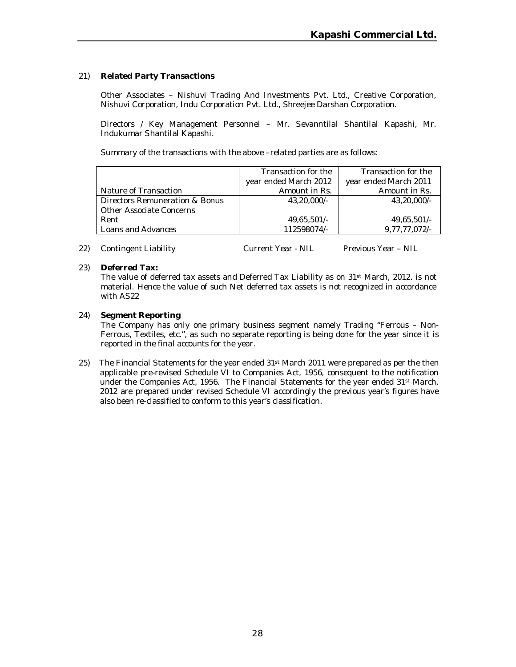#### 21) **Related Party Transactions**

Other Associates – Nishuvi Trading And Investments Pvt. Ltd., Creative Corporation, Nishuvi Corporation, Indu Corporation Pvt. Ltd., Shreejee Darshan Corporation.

Directors / Key Management Personnel – Mr. Sevanntilal Shantilal Kapashi, Mr. Indukumar Shantilal Kapashi.

Summary of the transactions with the above –related parties are as follows:

|                                | Transaction for the   | Transaction for the   |
|--------------------------------|-----------------------|-----------------------|
|                                | year ended March 2012 | year ended March 2011 |
| Nature of Transaction          | Amount in Rs.         | Amount in Rs.         |
| Directors Remuneration & Bonus | 43,20,000/-           | 43.20.000/-           |
| Other Associate Concerns       |                       |                       |
| Rent                           | 49,65,501/-           | 49,65,501/-           |
| Loans and Advances             | 112598074/-           | 9,77,77,072/-         |

22) Contingent Liability Current Year - NIL Previous Year - NIL

#### 23) **Deferred Tax:**

The value of deferred tax assets and Deferred Tax Liability as on 31st March, 2012. is not material. Hence the value of such Net deferred tax assets is not recognized in accordance with AS22

#### 24) **Segment Reporting**

The Company has only one primary business segment namely Trading "Ferrous – Non-Ferrous, Textiles, etc.", as such no separate reporting is being done for the year since it is reported in the final accounts for the year.

25) The Financial Statements for the year ended 31<sup>st</sup> March 2011 were prepared as per the then applicable pre-revised Schedule VI to Companies Act, 1956, consequent to the notification under the Companies Act, 1956. The Financial Statements for the year ended 31st March, 2012 are prepared under revised Schedule VI accordingly the previous year's figures have also been re-classified to conform to this year's classification.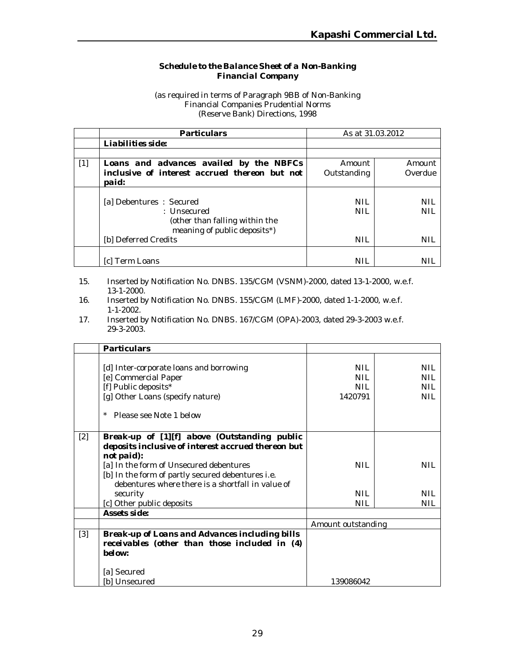#### *Schedule to the Balance Sheet of a Non-Banking Financial Company*

(as required in terms of Paragraph 9BB of Non-Banking Financial Companies Prudential Norms (Reserve Bank) Directions, 1998

|       | <b>Particulars</b>                                                                                                                 | As at 31.03.2012         |                          |
|-------|------------------------------------------------------------------------------------------------------------------------------------|--------------------------|--------------------------|
|       | Liabilities side:                                                                                                                  |                          |                          |
|       |                                                                                                                                    |                          |                          |
| $[1]$ | Loans and advances availed by the NBFCs                                                                                            | Amount                   | Amount                   |
|       | inclusive of interest accrued thereon but not<br>paid:                                                                             | Outstanding              | Overdue                  |
|       | [a] Debentures: Secured<br>$:$ Unsecured<br>(other than falling within the<br>meaning of public deposits*)<br>[b] Deferred Credits | NIL<br><b>NIL</b><br>NIL | NIL<br><b>NIL</b><br>NIL |
|       | lc1 Term Loans                                                                                                                     | NIL                      |                          |

- 15. Inserted by Notification No. DNBS. 135/CGM (VSNM)-2000, dated 13-1-2000, w.e.f. 13-1-2000.
- 16. Inserted by Notification No. DNBS. 155/CGM (LMF)-2000, dated 1-1-2000, w.e.f. 1-1-2002.
- 17. Inserted by Notification No. DNBS. 167/CGM (OPA)-2003, dated 29-3-2003 w.e.f. 29-3-2003.

|       | <b>Particulars</b>                                                                                                                                                                                                                                                    |                                       |                                                      |
|-------|-----------------------------------------------------------------------------------------------------------------------------------------------------------------------------------------------------------------------------------------------------------------------|---------------------------------------|------------------------------------------------------|
|       | [d] Inter-corporate loans and borrowing<br>[e] Commercial Paper<br>[f] Public deposits*<br>[g] Other Loans (specify nature)<br>$^{\star}$<br>Please see Note 1 below                                                                                                  | <b>NIL</b><br>NII.<br>NIL.<br>1420791 | <b>NIL</b><br><b>NIL</b><br><b>NIL</b><br><b>NIL</b> |
| $[2]$ | Break-up of [1][f] above (Outstanding public<br>deposits inclusive of interest accrued thereon but<br>not paid):<br>[a] In the form of Unsecured debentures<br>[b] In the form of partly secured debentures i.e.<br>debentures where there is a shortfall in value of | <b>NIL</b>                            | <b>NIL</b>                                           |
|       | security                                                                                                                                                                                                                                                              | <b>NIL</b>                            | <b>NIL</b>                                           |
|       | [c] Other public deposits                                                                                                                                                                                                                                             | NIL                                   | <b>NIL</b>                                           |
|       | Assets side:                                                                                                                                                                                                                                                          |                                       |                                                      |
|       |                                                                                                                                                                                                                                                                       | Amount outstanding                    |                                                      |
| $[3]$ | Break-up of Loans and Advances including bills<br>receivables (other than those included in (4)<br>below:<br>[a] Secured<br>[b] Unsecured                                                                                                                             | 139086042                             |                                                      |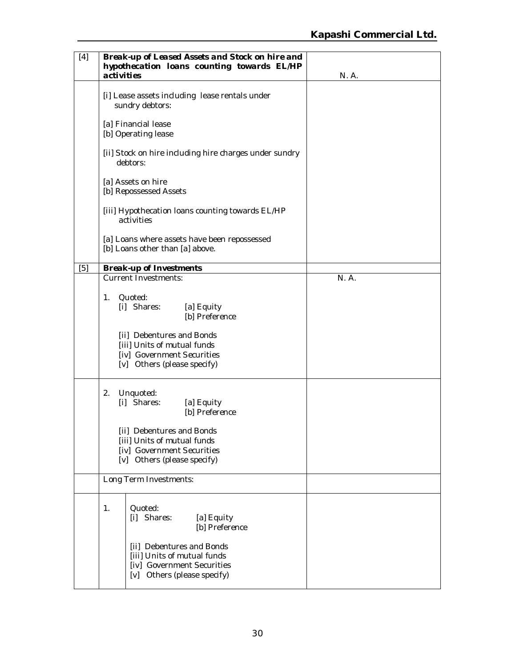| $[4]$ | Break-up of Leased Assets and Stock on hire and<br>hypothecation loans counting towards EL/HP<br>activities | N. A. |
|-------|-------------------------------------------------------------------------------------------------------------|-------|
|       | [i] Lease assets including lease rentals under<br>sundry debtors:                                           |       |
|       | [a] Financial lease<br>[b] Operating lease                                                                  |       |
|       | [ii] Stock on hire including hire charges under sundry<br>debtors:                                          |       |
|       | [a] Assets on hire<br>[b] Repossessed Assets                                                                |       |
|       | [iii] Hypothecation loans counting towards EL/HP<br>activities                                              |       |
|       | [a] Loans where assets have been repossessed<br>[b] Loans other than [a] above.                             |       |
| [5]   | <b>Break-up of Investments</b>                                                                              |       |
|       | <b>Current Investments:</b>                                                                                 | N. A. |
|       |                                                                                                             |       |
|       | $1_{\cdot}$<br>Quoted:                                                                                      |       |
|       | [i] Shares:<br>[a] Equity                                                                                   |       |
|       | [b] Preference                                                                                              |       |
|       |                                                                                                             |       |
|       | [ii] Debentures and Bonds<br>[iii] Units of mutual funds                                                    |       |
|       | [iv] Government Securities                                                                                  |       |
|       | [v] Others (please specify)                                                                                 |       |
|       |                                                                                                             |       |
|       | Unquoted:<br>2.                                                                                             |       |
|       | [i] Shares:<br>[a] Equity                                                                                   |       |
|       | [b] Preference                                                                                              |       |
|       |                                                                                                             |       |
|       | [ii] Debentures and Bonds<br>[iii] Units of mutual funds                                                    |       |
|       | [iv] Government Securities                                                                                  |       |
|       | [v] Others (please specify)                                                                                 |       |
|       | Long Term Investments:                                                                                      |       |
|       |                                                                                                             |       |
|       | 1.<br>Quoted:                                                                                               |       |
|       | [i] Shares:<br>[a] Equity                                                                                   |       |
|       | [b] Preference                                                                                              |       |
|       |                                                                                                             |       |
|       | [ii] Debentures and Bonds<br>[iii] Units of mutual funds                                                    |       |
|       | [iv] Government Securities                                                                                  |       |
|       | [v] Others (please specify)                                                                                 |       |
|       |                                                                                                             |       |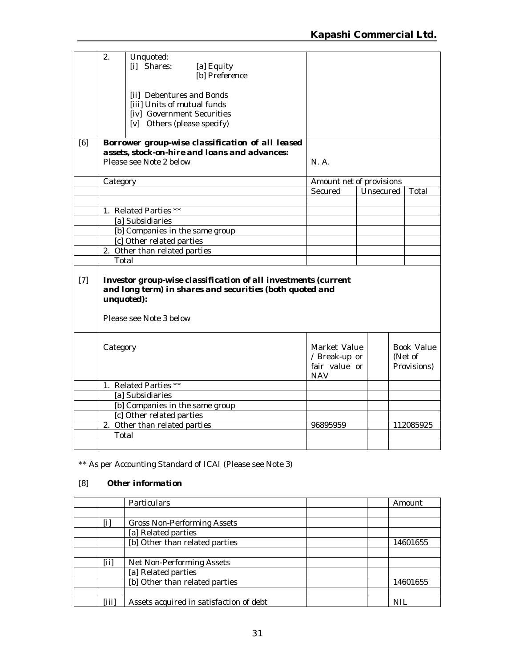|       | 2.       | Unquoted:<br>[i] Shares:<br>[a] Equity<br>[b] Preference<br>[ii] Debentures and Bonds<br>[iii] Units of mutual funds<br>[iv] Government Securities<br>[v] Others (please specify) |                                                              |  |                    |                                      |
|-------|----------|-----------------------------------------------------------------------------------------------------------------------------------------------------------------------------------|--------------------------------------------------------------|--|--------------------|--------------------------------------|
| [6]   |          | Borrower group-wise classification of all leased<br>assets, stock-on-hire and loans and advances:<br>Please see Note 2 below                                                      | N. A.                                                        |  |                    |                                      |
|       | Category |                                                                                                                                                                                   | Amount net of provisions                                     |  |                    |                                      |
|       |          |                                                                                                                                                                                   | Secured                                                      |  | Unsecured<br>Total |                                      |
|       |          |                                                                                                                                                                                   |                                                              |  |                    |                                      |
|       |          | 1. Related Parties **                                                                                                                                                             |                                                              |  |                    |                                      |
|       |          | [a] Subsidiaries                                                                                                                                                                  |                                                              |  |                    |                                      |
|       |          | [b] Companies in the same group                                                                                                                                                   |                                                              |  |                    |                                      |
|       |          | [c] Other related parties                                                                                                                                                         |                                                              |  |                    |                                      |
|       |          | 2. Other than related parties                                                                                                                                                     |                                                              |  |                    |                                      |
|       | Total    |                                                                                                                                                                                   |                                                              |  |                    |                                      |
| $[7]$ |          | Investor group-wise classification of all investments (current<br>and long term) in shares and securities (both quoted and<br>unquoted):<br>Please see Note 3 below               |                                                              |  |                    |                                      |
|       | Category |                                                                                                                                                                                   | Market Value<br>/ Break-up or<br>fair value or<br><b>NAV</b> |  |                    | Book Value<br>(Net of<br>Provisions) |
|       |          | 1. Related Parties **                                                                                                                                                             |                                                              |  |                    |                                      |
|       |          | [a] Subsidiaries                                                                                                                                                                  |                                                              |  |                    |                                      |
|       |          | [b] Companies in the same group                                                                                                                                                   |                                                              |  |                    |                                      |
|       |          | [c] Other related parties                                                                                                                                                         |                                                              |  |                    |                                      |
|       |          | 2. Other than related parties                                                                                                                                                     | 96895959                                                     |  |                    | 112085925                            |
|       | Total    |                                                                                                                                                                                   |                                                              |  |                    |                                      |
|       |          |                                                                                                                                                                                   |                                                              |  |                    |                                      |

\*\* As per Accounting Standard of ICAI (Please see Note 3)

# [8] *Other information*

|       | <b>Particulars</b>                      | Amount     |
|-------|-----------------------------------------|------------|
|       |                                         |            |
| [i    | <b>Gross Non-Performing Assets</b>      |            |
|       | [a] Related parties                     |            |
|       | [b] Other than related parties          | 14601655   |
|       |                                         |            |
| [iii] | Net Non-Performing Assets               |            |
|       | [a] Related parties                     |            |
|       | [b] Other than related parties          | 14601655   |
|       |                                         |            |
| [iii] | Assets acquired in satisfaction of debt | <b>NIL</b> |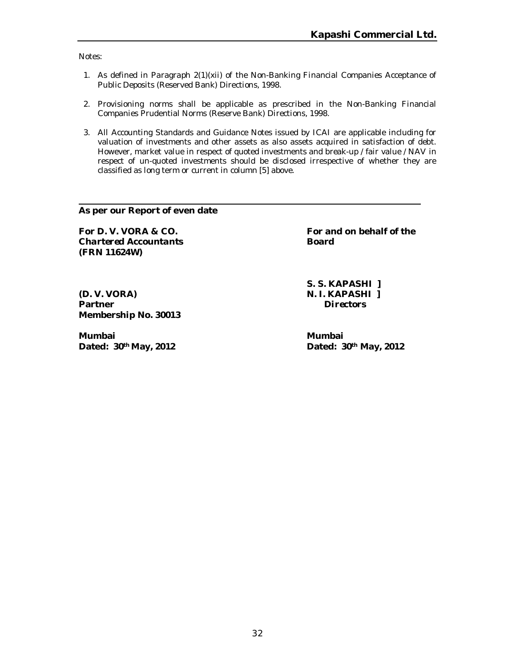Notes:

- 1. As defined in Paragraph 2(1)(xii) of the Non-Banking Financial Companies Acceptance of Public Deposits (Reserved Bank) Directions, 1998.
- 2. Provisioning norms shall be applicable as prescribed in the Non-Banking Financial Companies Prudential Norms (Reserve Bank) Directions, 1998.
- 3. All Accounting Standards and Guidance Notes issued by ICAI are applicable including for valuation of investments and other assets as also assets acquired in satisfaction of debt. However, market value in respect of quoted investments and break-up / fair value / NAV in respect of un-quoted investments should be disclosed irrespective of whether they are classified as long term or current in column [5] above.

**As per our Report of even date**

**Chartered Accountants Board (FRN 11624W)**

**(D. V. VORA) N. I. KAPASHI ] Partner** *Directors* **Membership No. 30013**

**Mumbai Mumbai**

**For D. V. VORA & CO. For and on behalf of the** 

**S. S. KAPASHI ]**

**Dated: 30th May, 2012 Dated: 30th May, 2012**